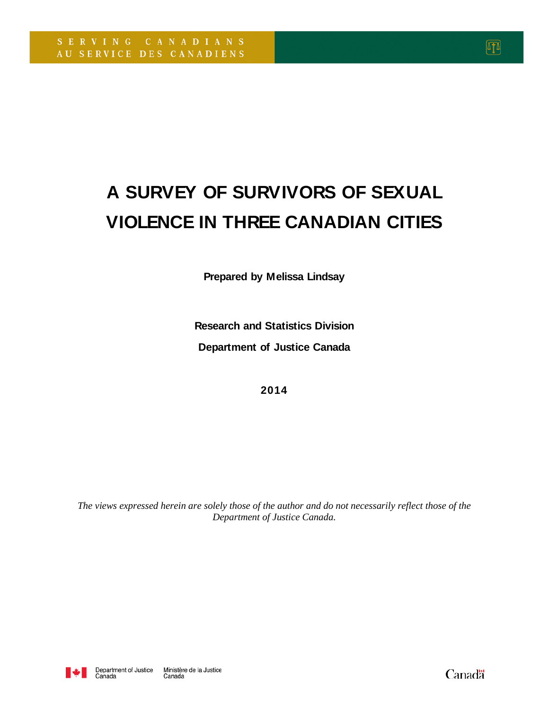# **A SURVEY OF SURVIVORS OF SEXUAL VIOLENCE IN THREE CANADIAN CITIES**

**Prepared by Melissa Lindsay**

**Research and Statistics Division Department of Justice Canada**

**2014**

*The views expressed herein are solely those of the author and do not necessarily reflect those of the Department of Justice Canada.*



Canadä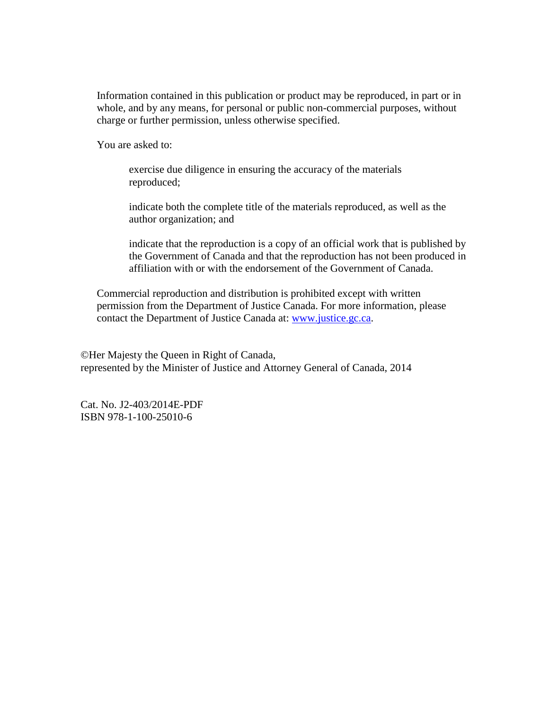Information contained in this publication or product may be reproduced, in part or in whole, and by any means, for personal or public non-commercial purposes, without charge or further permission, unless otherwise specified.

You are asked to:

exercise due diligence in ensuring the accuracy of the materials reproduced;

indicate both the complete title of the materials reproduced, as well as the author organization; and

indicate that the reproduction is a copy of an official work that is published by the Government of Canada and that the reproduction has not been produced in affiliation with or with the endorsement of the Government of Canada.

Commercial reproduction and distribution is prohibited except with written permission from the Department of Justice Canada. For more information, please contact the Department of Justice Canada at: [www.justice.gc.ca.](http://www.justice.gc.ca/)

©Her Majesty the Queen in Right of Canada, represented by the Minister of Justice and Attorney General of Canada, 2014

Cat. No. J2-403/2014E-PDF ISBN 978-1-100-25010-6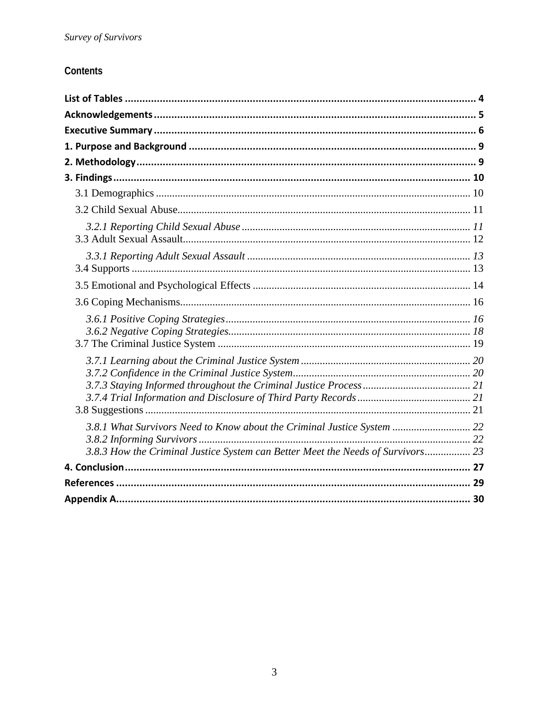# Contents

| 3.8.1 What Survivors Need to Know about the Criminal Justice System  22<br>3.8.3 How the Criminal Justice System can Better Meet the Needs of Survivors 23 |  |
|------------------------------------------------------------------------------------------------------------------------------------------------------------|--|
|                                                                                                                                                            |  |
|                                                                                                                                                            |  |
|                                                                                                                                                            |  |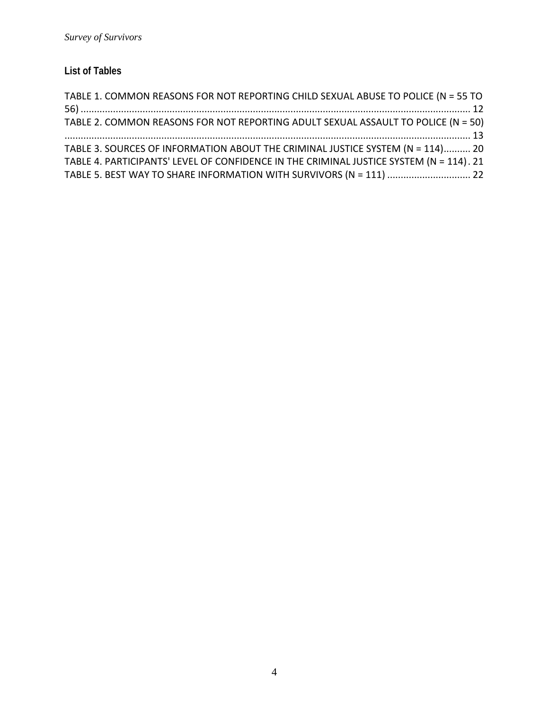# **List of Tables**

| TABLE 1. COMMON REASONS FOR NOT REPORTING CHILD SEXUAL ABUSE TO POLICE (N = 55 TO       |  |
|-----------------------------------------------------------------------------------------|--|
|                                                                                         |  |
| TABLE 2. COMMON REASONS FOR NOT REPORTING ADULT SEXUAL ASSAULT TO POLICE (N = 50)       |  |
|                                                                                         |  |
| TABLE 3. SOURCES OF INFORMATION ABOUT THE CRIMINAL JUSTICE SYSTEM (N = 114) 20          |  |
| TABLE 4. PARTICIPANTS' LEVEL OF CONFIDENCE IN THE CRIMINAL JUSTICE SYSTEM (N = 114). 21 |  |
|                                                                                         |  |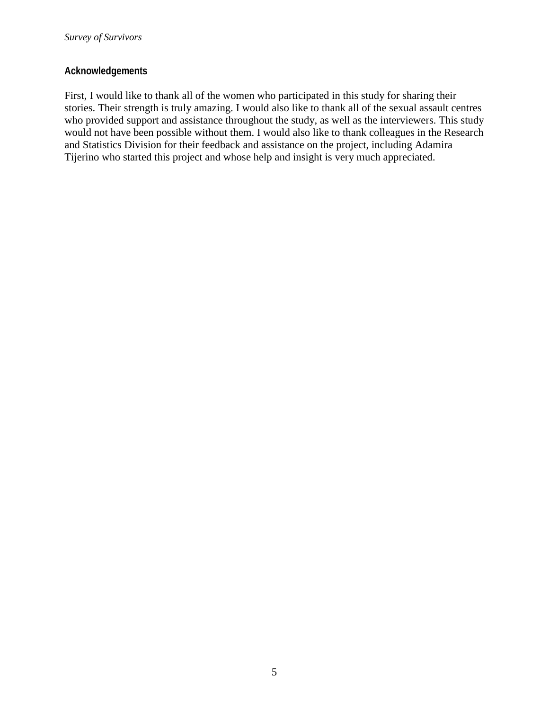#### **Acknowledgements**

First, I would like to thank all of the women who participated in this study for sharing their stories. Their strength is truly amazing. I would also like to thank all of the sexual assault centres who provided support and assistance throughout the study, as well as the interviewers. This study would not have been possible without them. I would also like to thank colleagues in the Research and Statistics Division for their feedback and assistance on the project, including Adamira Tijerino who started this project and whose help and insight is very much appreciated.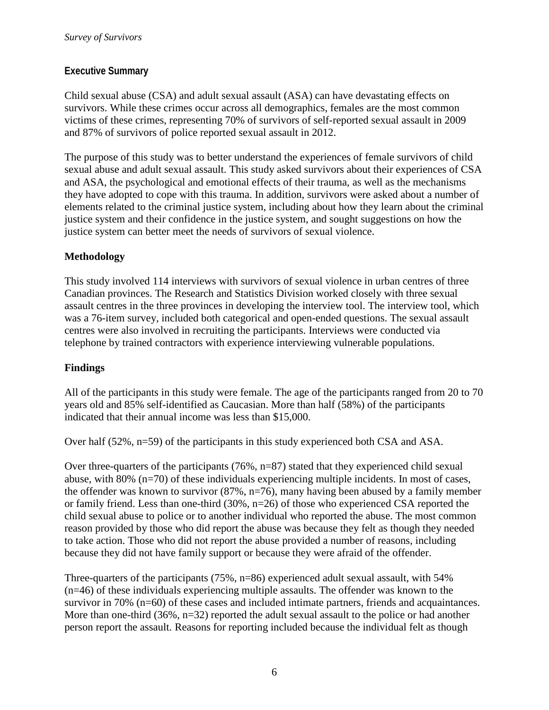#### **Executive Summary**

Child sexual abuse (CSA) and adult sexual assault (ASA) can have devastating effects on survivors. While these crimes occur across all demographics, females are the most common victims of these crimes, representing 70% of survivors of self-reported sexual assault in 2009 and 87% of survivors of police reported sexual assault in 2012.

The purpose of this study was to better understand the experiences of female survivors of child sexual abuse and adult sexual assault. This study asked survivors about their experiences of CSA and ASA, the psychological and emotional effects of their trauma, as well as the mechanisms they have adopted to cope with this trauma. In addition, survivors were asked about a number of elements related to the criminal justice system, including about how they learn about the criminal justice system and their confidence in the justice system, and sought suggestions on how the justice system can better meet the needs of survivors of sexual violence.

#### **Methodology**

This study involved 114 interviews with survivors of sexual violence in urban centres of three Canadian provinces. The Research and Statistics Division worked closely with three sexual assault centres in the three provinces in developing the interview tool. The interview tool, which was a 76-item survey, included both categorical and open-ended questions. The sexual assault centres were also involved in recruiting the participants. Interviews were conducted via telephone by trained contractors with experience interviewing vulnerable populations.

## **Findings**

All of the participants in this study were female. The age of the participants ranged from 20 to 70 years old and 85% self-identified as Caucasian. More than half (58%) of the participants indicated that their annual income was less than \$15,000.

Over half (52%, n=59) of the participants in this study experienced both CSA and ASA.

Over three-quarters of the participants  $(76\%, n=87)$  stated that they experienced child sexual abuse, with 80% (n=70) of these individuals experiencing multiple incidents. In most of cases, the offender was known to survivor (87%, n=76), many having been abused by a family member or family friend. Less than one-third (30%, n=26) of those who experienced CSA reported the child sexual abuse to police or to another individual who reported the abuse. The most common reason provided by those who did report the abuse was because they felt as though they needed to take action. Those who did not report the abuse provided a number of reasons, including because they did not have family support or because they were afraid of the offender.

Three-quarters of the participants (75%, n=86) experienced adult sexual assault, with 54% (n=46) of these individuals experiencing multiple assaults. The offender was known to the survivor in 70% (n=60) of these cases and included intimate partners, friends and acquaintances. More than one-third  $(36\%, n=32)$  reported the adult sexual assault to the police or had another person report the assault. Reasons for reporting included because the individual felt as though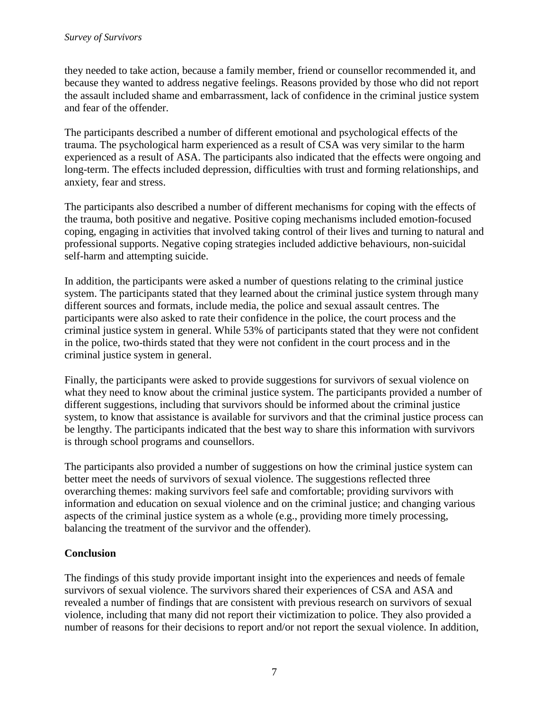they needed to take action, because a family member, friend or counsellor recommended it, and because they wanted to address negative feelings. Reasons provided by those who did not report the assault included shame and embarrassment, lack of confidence in the criminal justice system and fear of the offender.

The participants described a number of different emotional and psychological effects of the trauma. The psychological harm experienced as a result of CSA was very similar to the harm experienced as a result of ASA. The participants also indicated that the effects were ongoing and long-term. The effects included depression, difficulties with trust and forming relationships, and anxiety, fear and stress.

The participants also described a number of different mechanisms for coping with the effects of the trauma, both positive and negative. Positive coping mechanisms included emotion-focused coping, engaging in activities that involved taking control of their lives and turning to natural and professional supports. Negative coping strategies included addictive behaviours, non-suicidal self-harm and attempting suicide.

In addition, the participants were asked a number of questions relating to the criminal justice system. The participants stated that they learned about the criminal justice system through many different sources and formats, include media, the police and sexual assault centres. The participants were also asked to rate their confidence in the police, the court process and the criminal justice system in general. While 53% of participants stated that they were not confident in the police, two-thirds stated that they were not confident in the court process and in the criminal justice system in general.

Finally, the participants were asked to provide suggestions for survivors of sexual violence on what they need to know about the criminal justice system. The participants provided a number of different suggestions, including that survivors should be informed about the criminal justice system, to know that assistance is available for survivors and that the criminal justice process can be lengthy. The participants indicated that the best way to share this information with survivors is through school programs and counsellors.

The participants also provided a number of suggestions on how the criminal justice system can better meet the needs of survivors of sexual violence. The suggestions reflected three overarching themes: making survivors feel safe and comfortable; providing survivors with information and education on sexual violence and on the criminal justice; and changing various aspects of the criminal justice system as a whole (e.g., providing more timely processing, balancing the treatment of the survivor and the offender).

## **Conclusion**

The findings of this study provide important insight into the experiences and needs of female survivors of sexual violence. The survivors shared their experiences of CSA and ASA and revealed a number of findings that are consistent with previous research on survivors of sexual violence, including that many did not report their victimization to police. They also provided a number of reasons for their decisions to report and/or not report the sexual violence. In addition,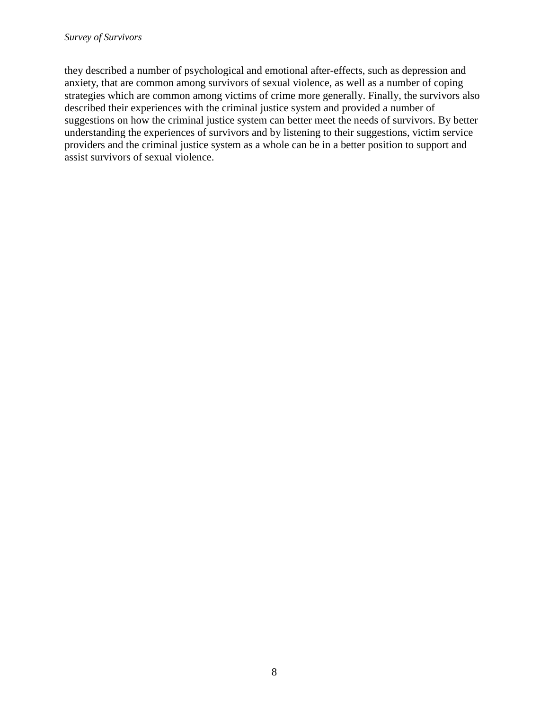they described a number of psychological and emotional after-effects, such as depression and anxiety, that are common among survivors of sexual violence, as well as a number of coping strategies which are common among victims of crime more generally. Finally, the survivors also described their experiences with the criminal justice system and provided a number of suggestions on how the criminal justice system can better meet the needs of survivors. By better understanding the experiences of survivors and by listening to their suggestions, victim service providers and the criminal justice system as a whole can be in a better position to support and assist survivors of sexual violence.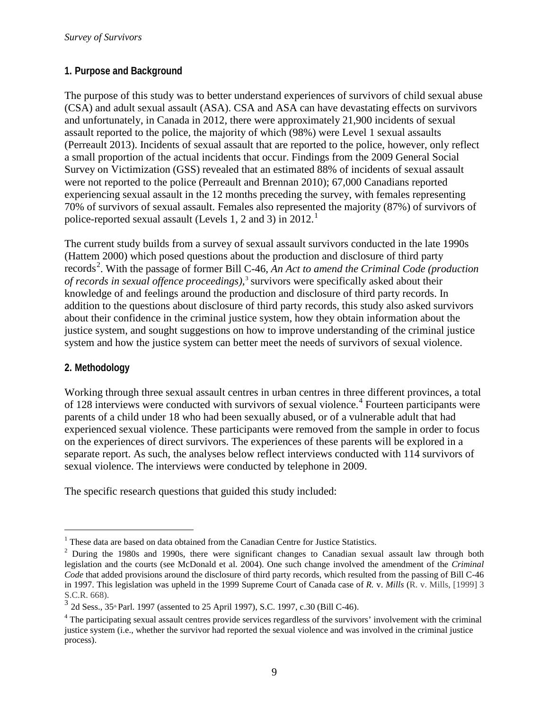#### **1. Purpose and Background**

The purpose of this study was to better understand experiences of survivors of child sexual abuse (CSA) and adult sexual assault (ASA). CSA and ASA can have devastating effects on survivors and unfortunately, in Canada in 2012, there were approximately 21,900 incidents of sexual assault reported to the police, the majority of which (98%) were Level 1 sexual assaults (Perreault 2013). Incidents of sexual assault that are reported to the police, however, only reflect a small proportion of the actual incidents that occur. Findings from the 2009 General Social Survey on Victimization (GSS) revealed that an estimated 88% of incidents of sexual assault were not reported to the police (Perreault and Brennan 2010); 67,000 Canadians reported experiencing sexual assault in the 12 months preceding the survey, with females representing 70% of survivors of sexual assault. Females also represented the majority (87%) of survivors of police-reported sexual assault (Levels [1](#page-8-0), 2 and 3) in 2012.<sup>1</sup>

The current study builds from a survey of sexual assault survivors conducted in the late 1990s (Hattem 2000) which posed questions about the production and disclosure of third party records<sup>[2](#page-8-1)</sup>. With the passage of former Bill C-46, An Act to amend the Criminal Code (production *of records in sexual offence proceedings),*[3](#page-8-2) survivors were specifically asked about their knowledge of and feelings around the production and disclosure of third party records. In addition to the questions about disclosure of third party records, this study also asked survivors about their confidence in the criminal justice system, how they obtain information about the justice system, and sought suggestions on how to improve understanding of the criminal justice system and how the justice system can better meet the needs of survivors of sexual violence.

#### **2. Methodology**

Working through three sexual assault centres in urban centres in three different provinces, a total of 128 interviews were conducted with survivors of sexual violence.<sup>[4](#page-8-3)</sup> Fourteen participants were parents of a child under 18 who had been sexually abused, or of a vulnerable adult that had experienced sexual violence. These participants were removed from the sample in order to focus on the experiences of direct survivors. The experiences of these parents will be explored in a separate report. As such, the analyses below reflect interviews conducted with 114 survivors of sexual violence. The interviews were conducted by telephone in 2009.

The specific research questions that guided this study included:

<span id="page-8-0"></span> $1$  These data are based on data obtained from the Canadian Centre for Justice Statistics.

<span id="page-8-1"></span> $^{2}$  During the 1980s and 1990s, there were significant changes to Canadian sexual assault law through both legislation and the courts (see McDonald et al. 2004). One such change involved the amendment of the *Criminal Code* that added provisions around the disclosure of third party records, which resulted from the passing of Bill C-46 in 1997. This legislation was upheld in the 1999 Supreme Court of Canada case of *R.* v. *Mills* (R. v. Mills, [1999] 3 S.C.R. 668).

<span id="page-8-2"></span> $3$  2d Sess., 35<sup>th</sup> Parl. 1997 (assented to 25 April 1997), S.C. 1997, c.30 (Bill C-46).

<span id="page-8-3"></span><sup>&</sup>lt;sup>4</sup> The participating sexual assault centres provide services regardless of the survivors' involvement with the criminal justice system (i.e., whether the survivor had reported the sexual violence and was involved in the criminal justice process).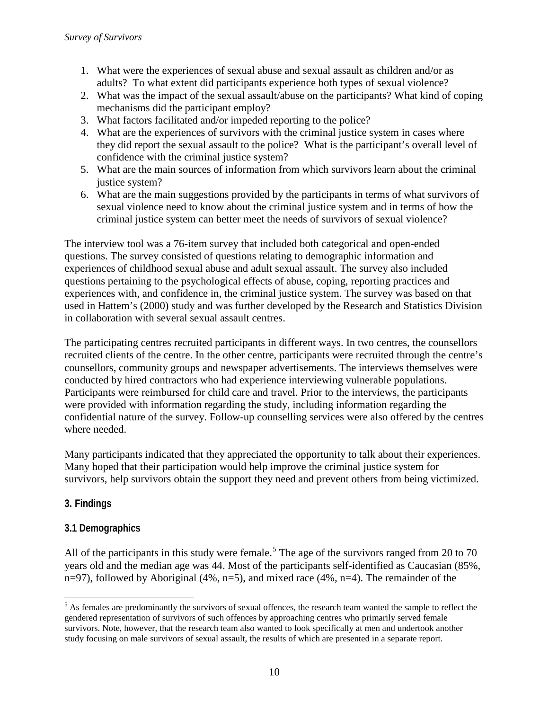- 1. What were the experiences of sexual abuse and sexual assault as children and/or as adults? To what extent did participants experience both types of sexual violence?
- 2. What was the impact of the sexual assault/abuse on the participants? What kind of coping mechanisms did the participant employ?
- 3. What factors facilitated and/or impeded reporting to the police?
- 4. What are the experiences of survivors with the criminal justice system in cases where they did report the sexual assault to the police? What is the participant's overall level of confidence with the criminal justice system?
- 5. What are the main sources of information from which survivors learn about the criminal justice system?
- 6. What are the main suggestions provided by the participants in terms of what survivors of sexual violence need to know about the criminal justice system and in terms of how the criminal justice system can better meet the needs of survivors of sexual violence?

The interview tool was a 76-item survey that included both categorical and open-ended questions. The survey consisted of questions relating to demographic information and experiences of childhood sexual abuse and adult sexual assault. The survey also included questions pertaining to the psychological effects of abuse, coping, reporting practices and experiences with, and confidence in, the criminal justice system. The survey was based on that used in Hattem's (2000) study and was further developed by the Research and Statistics Division in collaboration with several sexual assault centres.

The participating centres recruited participants in different ways. In two centres, the counsellors recruited clients of the centre. In the other centre, participants were recruited through the centre's counsellors, community groups and newspaper advertisements. The interviews themselves were conducted by hired contractors who had experience interviewing vulnerable populations. Participants were reimbursed for child care and travel. Prior to the interviews, the participants were provided with information regarding the study, including information regarding the confidential nature of the survey. Follow-up counselling services were also offered by the centres where needed.

Many participants indicated that they appreciated the opportunity to talk about their experiences. Many hoped that their participation would help improve the criminal justice system for survivors, help survivors obtain the support they need and prevent others from being victimized.

# **3. Findings**

# **3.1 Demographics**

All of the participants in this study were female.<sup>[5](#page-9-0)</sup> The age of the survivors ranged from 20 to 70 years old and the median age was 44. Most of the participants self-identified as Caucasian (85%, n=97), followed by Aboriginal (4%, n=5), and mixed race (4%, n=4). The remainder of the

<span id="page-9-0"></span><sup>&</sup>lt;sup>5</sup> As females are predominantly the survivors of sexual offences, the research team wanted the sample to reflect the gendered representation of survivors of such offences by approaching centres who primarily served female survivors. Note, however, that the research team also wanted to look specifically at men and undertook another study focusing on male survivors of sexual assault, the results of which are presented in a separate report.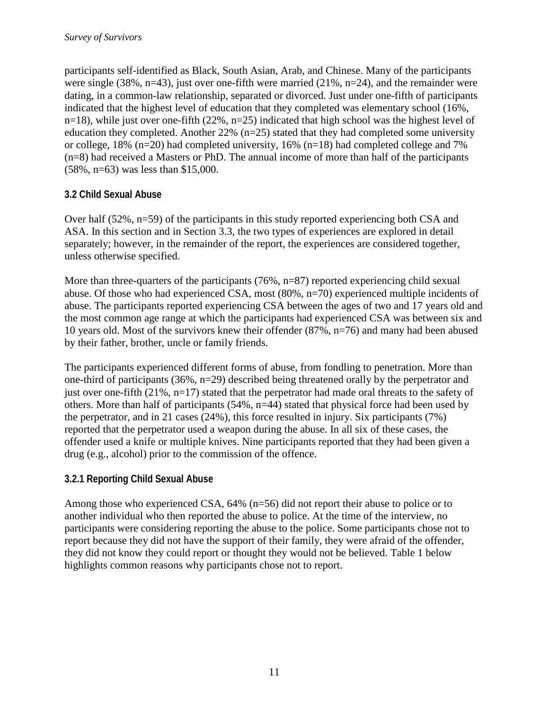participants self-identified as Black, South Asian, Arab, and Chinese. Many of the participants were single (38%, n=43), just over one-fifth were married (21%, n=24), and the remainder were dating, in a common-law relationship, separated or divorced. Just under one-fifth of participants indicated that the highest level of education that they completed was elementary school (16%, n=18), while just over one-fifth (22%, n=25) indicated that high school was the highest level of education they completed. Another  $22\%$  (n=25) stated that they had completed some university or college, 18% (n=20) had completed university, 16% (n=18) had completed college and 7% (n=8) had received a Masters or PhD. The annual income of more than half of the participants (58%, n=63) was less than \$15,000.

## **3.2 Child Sexual Abuse**

Over half (52%, n=59) of the participants in this study reported experiencing both CSA and ASA. In this section and in Section 3.3, the two types of experiences are explored in detail separately; however, in the remainder of the report, the experiences are considered together, unless otherwise specified.

More than three-quarters of the participants (76%, n=87) reported experiencing child sexual abuse. Of those who had experienced CSA, most (80%, n=70) experienced multiple incidents of abuse. The participants reported experiencing CSA between the ages of two and 17 years old and the most common age range at which the participants had experienced CSA was between six and 10 years old. Most of the survivors knew their offender (87%, n=76) and many had been abused by their father, brother, uncle or family friends.

The participants experienced different forms of abuse, from fondling to penetration. More than one-third of participants (36%, n=29) described being threatened orally by the perpetrator and just over one-fifth (21%, n=17) stated that the perpetrator had made oral threats to the safety of others. More than half of participants (54%, n=44) stated that physical force had been used by the perpetrator, and in 21 cases (24%), this force resulted in injury. Six participants (7%) reported that the perpetrator used a weapon during the abuse. In all six of these cases, the offender used a knife or multiple knives. Nine participants reported that they had been given a drug (e.g., alcohol) prior to the commission of the offence.

# **3.2.1 Reporting Child Sexual Abuse**

Among those who experienced CSA, 64% (n=56) did not report their abuse to police or to another individual who then reported the abuse to police. At the time of the interview, no participants were considering reporting the abuse to the police. Some participants chose not to report because they did not have the support of their family, they were afraid of the offender, they did not know they could report or thought they would not be believed. Table 1 below highlights common reasons why participants chose not to report.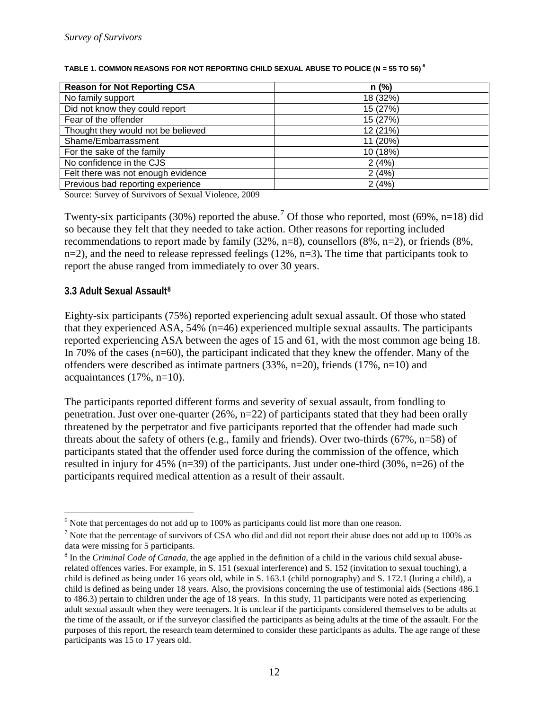| <b>Reason for Not Reporting CSA</b> | n(%)     |
|-------------------------------------|----------|
| No family support                   | 18 (32%) |
| Did not know they could report      | 15 (27%) |
| Fear of the offender                | 15 (27%) |
| Thought they would not be believed  | 12 (21%) |
| Shame/Embarrassment                 | 11 (20%) |
| For the sake of the family          | 10 (18%) |
| No confidence in the CJS            | 2(4%)    |
| Felt there was not enough evidence  | 2(4%)    |
| Previous bad reporting experience   | 2(4%     |

#### <span id="page-11-0"></span>**TABLE 1. COMMON REASONS FOR NOT REPORTING CHILD SEXUAL ABUSE TO POLICE (N = 55 TO 56) [6](#page-11-1)**

Source: Survey of Survivors of Sexual Violence, 2009

Twenty-six participants (30%) reported the abuse.<sup>[7](#page-11-2)</sup> Of those who reported, most (69%, n=18) did so because they felt that they needed to take action. Other reasons for reporting included recommendations to report made by family (32%, n=8), counsellors (8%, n=2), or friends (8%, n=2), and the need to release repressed feelings (12%, n=3)**.** The time that participants took to report the abuse ranged from immediately to over 30 years.

#### **3.3 Adult Sexual Assault[8](#page-11-3)**

Eighty-six participants (75%) reported experiencing adult sexual assault. Of those who stated that they experienced ASA, 54% (n=46) experienced multiple sexual assaults. The participants reported experiencing ASA between the ages of 15 and 61, with the most common age being 18. In 70% of the cases (n=60), the participant indicated that they knew the offender. Many of the offenders were described as intimate partners (33%, n=20), friends (17%, n=10) and acquaintances (17%, n=10).

The participants reported different forms and severity of sexual assault, from fondling to penetration. Just over one-quarter (26%, n=22) of participants stated that they had been orally threatened by the perpetrator and five participants reported that the offender had made such threats about the safety of others (e.g., family and friends). Over two-thirds (67%, n=58) of participants stated that the offender used force during the commission of the offence, which resulted in injury for 45% (n=39) of the participants. Just under one-third  $(30\%, n=26)$  of the participants required medical attention as a result of their assault.

<span id="page-11-1"></span> $6$  Note that percentages do not add up to 100% as participants could list more than one reason.

<span id="page-11-2"></span> $7$  Note that the percentage of survivors of CSA who did and did not report their abuse does not add up to 100% as data were missing for 5 participants.

<span id="page-11-3"></span><sup>8</sup> In the *Criminal Code of Canada*, the age applied in the definition of a child in the various child sexual abuserelated offences varies. For example, in S. 151 (sexual interference) and S. 152 (invitation to sexual touching), a child is defined as being under 16 years old, while in S. 163.1 (child pornography) and S. 172.1 (luring a child), a child is defined as being under 18 years. Also, the provisions concerning the use of testimonial aids (Sections 486.1 to 486.3) pertain to children under the age of 18 years. In this study, 11 participants were noted as experiencing adult sexual assault when they were teenagers. It is unclear if the participants considered themselves to be adults at the time of the assault, or if the surveyor classified the participants as being adults at the time of the assault. For the purposes of this report, the research team determined to consider these participants as adults. The age range of these participants was 15 to 17 years old.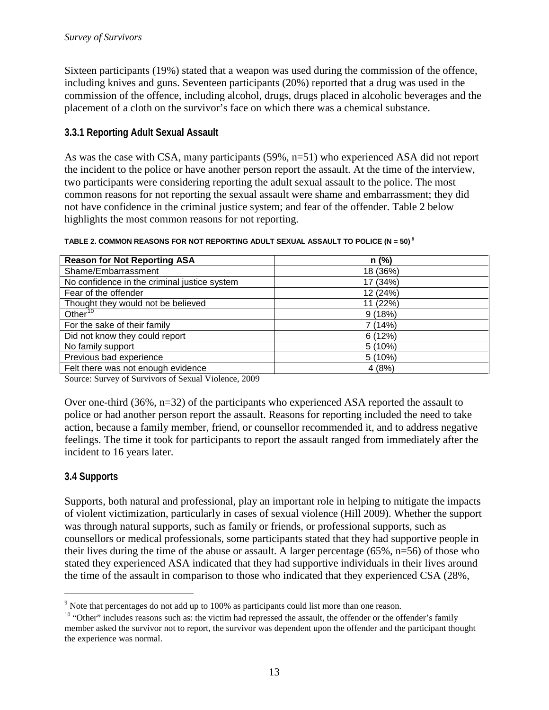Sixteen participants (19%) stated that a weapon was used during the commission of the offence, including knives and guns. Seventeen participants (20%) reported that a drug was used in the commission of the offence, including alcohol, drugs, drugs placed in alcoholic beverages and the placement of a cloth on the survivor's face on which there was a chemical substance.

#### **3.3.1 Reporting Adult Sexual Assault**

As was the case with CSA, many participants (59%, n=51) who experienced ASA did not report the incident to the police or have another person report the assault. At the time of the interview, two participants were considering reporting the adult sexual assault to the police. The most common reasons for not reporting the sexual assault were shame and embarrassment; they did not have confidence in the criminal justice system; and fear of the offender. Table 2 below highlights the most common reasons for not reporting.

| <b>Reason for Not Reporting ASA</b>          | $n$ (%)   |
|----------------------------------------------|-----------|
| Shame/Embarrassment                          | 18 (36%)  |
| No confidence in the criminal justice system | 17 (34%)  |
| Fear of the offender                         | 12 (24%)  |
| Thought they would not be believed           | 11 (22%)  |
| Other <sup>10</sup>                          | 9(18%)    |
| For the sake of their family                 | 7 (14%)   |
| Did not know they could report               | 6(12%)    |
| No family support                            | $5(10\%)$ |
| Previous bad experience                      | 5(10%)    |
| Felt there was not enough evidence           | 4(8%      |

#### <span id="page-12-0"></span>**TABLE 2. COMMON REASONS FOR NOT REPORTING ADULT SEXUAL ASSAULT TO POLICE (N = 50) [9](#page-12-1)**

Source: Survey of Survivors of Sexual Violence, 2009

Over one-third  $(36\%, n=32)$  of the participants who experienced ASA reported the assault to police or had another person report the assault. Reasons for reporting included the need to take action, because a family member, friend, or counsellor recommended it, and to address negative feelings. The time it took for participants to report the assault ranged from immediately after the incident to 16 years later.

#### **3.4 Supports**

Supports, both natural and professional, play an important role in helping to mitigate the impacts of violent victimization, particularly in cases of sexual violence (Hill 2009). Whether the support was through natural supports, such as family or friends, or professional supports, such as counsellors or medical professionals, some participants stated that they had supportive people in their lives during the time of the abuse or assault. A larger percentage (65%, n=56) of those who stated they experienced ASA indicated that they had supportive individuals in their lives around the time of the assault in comparison to those who indicated that they experienced CSA (28%,

<span id="page-12-1"></span> $9$  Note that percentages do not add up to 100% as participants could list more than one reason.

<span id="page-12-2"></span> $10$  "Other" includes reasons such as: the victim had repressed the assault, the offender or the offender's family member asked the survivor not to report, the survivor was dependent upon the offender and the participant thought the experience was normal.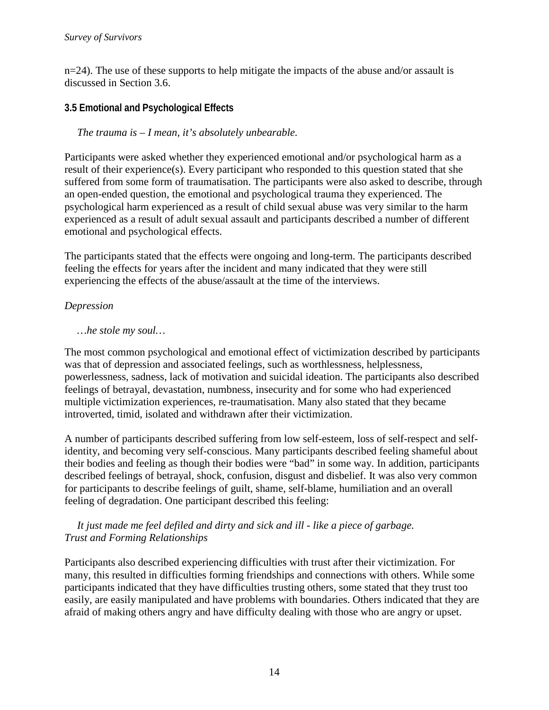$n=24$ ). The use of these supports to help mitigate the impacts of the abuse and/or assault is discussed in Section 3.6.

# **3.5 Emotional and Psychological Effects**

*The trauma is – I mean, it's absolutely unbearable.*

Participants were asked whether they experienced emotional and/or psychological harm as a result of their experience(s). Every participant who responded to this question stated that she suffered from some form of traumatisation. The participants were also asked to describe, through an open-ended question, the emotional and psychological trauma they experienced. The psychological harm experienced as a result of child sexual abuse was very similar to the harm experienced as a result of adult sexual assault and participants described a number of different emotional and psychological effects.

The participants stated that the effects were ongoing and long-term. The participants described feeling the effects for years after the incident and many indicated that they were still experiencing the effects of the abuse/assault at the time of the interviews.

## *Depression*

## *…he stole my soul…*

The most common psychological and emotional effect of victimization described by participants was that of depression and associated feelings, such as worthlessness, helplessness, powerlessness, sadness, lack of motivation and suicidal ideation. The participants also described feelings of betrayal, devastation, numbness, insecurity and for some who had experienced multiple victimization experiences, re-traumatisation. Many also stated that they became introverted, timid, isolated and withdrawn after their victimization.

A number of participants described suffering from low self-esteem, loss of self-respect and selfidentity, and becoming very self-conscious. Many participants described feeling shameful about their bodies and feeling as though their bodies were "bad" in some way. In addition, participants described feelings of betrayal, shock, confusion, disgust and disbelief. It was also very common for participants to describe feelings of guilt, shame, self-blame, humiliation and an overall feeling of degradation. One participant described this feeling:

#### *It just made me feel defiled and dirty and sick and ill - like a piece of garbage. Trust and Forming Relationships*

Participants also described experiencing difficulties with trust after their victimization. For many, this resulted in difficulties forming friendships and connections with others. While some participants indicated that they have difficulties trusting others, some stated that they trust too easily, are easily manipulated and have problems with boundaries. Others indicated that they are afraid of making others angry and have difficulty dealing with those who are angry or upset.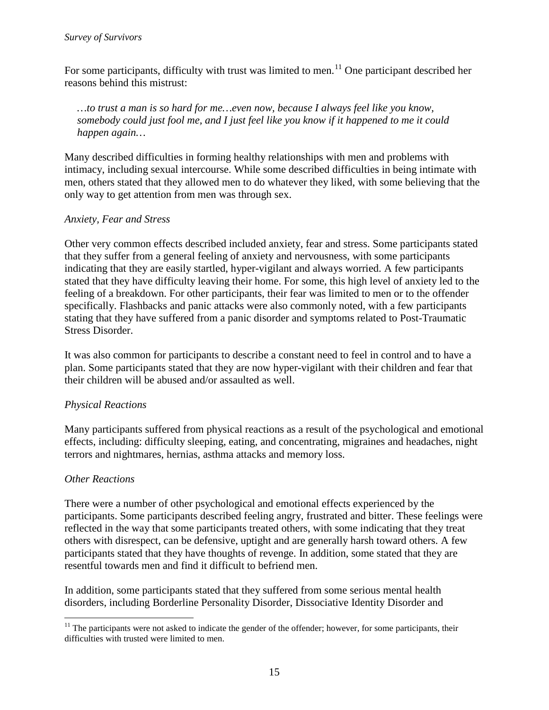For some participants, difficulty with trust was limited to men.<sup>[11](#page-14-0)</sup> One participant described her reasons behind this mistrust:

*…to trust a man is so hard for me…even now, because I always feel like you know, somebody could just fool me, and I just feel like you know if it happened to me it could happen again…* 

Many described difficulties in forming healthy relationships with men and problems with intimacy, including sexual intercourse. While some described difficulties in being intimate with men, others stated that they allowed men to do whatever they liked, with some believing that the only way to get attention from men was through sex.

#### *Anxiety, Fear and Stress*

Other very common effects described included anxiety, fear and stress. Some participants stated that they suffer from a general feeling of anxiety and nervousness, with some participants indicating that they are easily startled, hyper-vigilant and always worried. A few participants stated that they have difficulty leaving their home. For some, this high level of anxiety led to the feeling of a breakdown. For other participants, their fear was limited to men or to the offender specifically. Flashbacks and panic attacks were also commonly noted, with a few participants stating that they have suffered from a panic disorder and symptoms related to Post-Traumatic Stress Disorder.

It was also common for participants to describe a constant need to feel in control and to have a plan. Some participants stated that they are now hyper-vigilant with their children and fear that their children will be abused and/or assaulted as well.

## *Physical Reactions*

Many participants suffered from physical reactions as a result of the psychological and emotional effects, including: difficulty sleeping, eating, and concentrating, migraines and headaches, night terrors and nightmares, hernias, asthma attacks and memory loss.

#### *Other Reactions*

There were a number of other psychological and emotional effects experienced by the participants. Some participants described feeling angry, frustrated and bitter. These feelings were reflected in the way that some participants treated others, with some indicating that they treat others with disrespect, can be defensive, uptight and are generally harsh toward others. A few participants stated that they have thoughts of revenge. In addition, some stated that they are resentful towards men and find it difficult to befriend men.

In addition, some participants stated that they suffered from some serious mental health disorders, including Borderline Personality Disorder, Dissociative Identity Disorder and

<span id="page-14-0"></span> $11$  The participants were not asked to indicate the gender of the offender; however, for some participants, their difficulties with trusted were limited to men.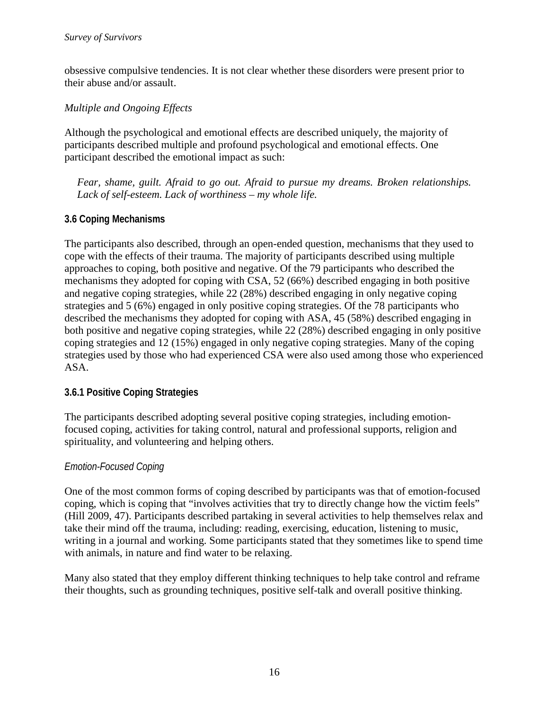obsessive compulsive tendencies. It is not clear whether these disorders were present prior to their abuse and/or assault.

#### *Multiple and Ongoing Effects*

Although the psychological and emotional effects are described uniquely, the majority of participants described multiple and profound psychological and emotional effects. One participant described the emotional impact as such:

*Fear, shame, guilt. Afraid to go out. Afraid to pursue my dreams. Broken relationships. Lack of self-esteem. Lack of worthiness – my whole life.*

## **3.6 Coping Mechanisms**

The participants also described, through an open-ended question, mechanisms that they used to cope with the effects of their trauma. The majority of participants described using multiple approaches to coping, both positive and negative. Of the 79 participants who described the mechanisms they adopted for coping with CSA, 52 (66%) described engaging in both positive and negative coping strategies, while 22 (28%) described engaging in only negative coping strategies and 5 (6%) engaged in only positive coping strategies. Of the 78 participants who described the mechanisms they adopted for coping with ASA, 45 (58%) described engaging in both positive and negative coping strategies, while 22 (28%) described engaging in only positive coping strategies and 12 (15%) engaged in only negative coping strategies. Many of the coping strategies used by those who had experienced CSA were also used among those who experienced ASA.

## **3.6.1 Positive Coping Strategies**

The participants described adopting several positive coping strategies, including emotionfocused coping, activities for taking control, natural and professional supports, religion and spirituality, and volunteering and helping others.

## *Emotion-Focused Coping*

One of the most common forms of coping described by participants was that of emotion-focused coping, which is coping that "involves activities that try to directly change how the victim feels" (Hill 2009, 47). Participants described partaking in several activities to help themselves relax and take their mind off the trauma, including: reading, exercising, education, listening to music, writing in a journal and working. Some participants stated that they sometimes like to spend time with animals, in nature and find water to be relaxing.

Many also stated that they employ different thinking techniques to help take control and reframe their thoughts, such as grounding techniques, positive self-talk and overall positive thinking.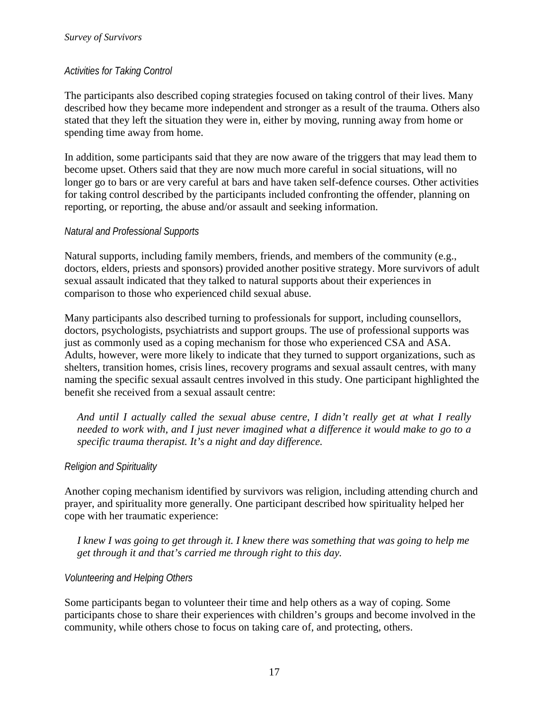#### *Activities for Taking Control*

The participants also described coping strategies focused on taking control of their lives. Many described how they became more independent and stronger as a result of the trauma. Others also stated that they left the situation they were in, either by moving, running away from home or spending time away from home.

In addition, some participants said that they are now aware of the triggers that may lead them to become upset. Others said that they are now much more careful in social situations, will no longer go to bars or are very careful at bars and have taken self-defence courses. Other activities for taking control described by the participants included confronting the offender, planning on reporting, or reporting, the abuse and/or assault and seeking information.

#### *Natural and Professional Supports*

Natural supports, including family members, friends, and members of the community (e.g., doctors, elders, priests and sponsors) provided another positive strategy. More survivors of adult sexual assault indicated that they talked to natural supports about their experiences in comparison to those who experienced child sexual abuse.

Many participants also described turning to professionals for support, including counsellors, doctors, psychologists, psychiatrists and support groups. The use of professional supports was just as commonly used as a coping mechanism for those who experienced CSA and ASA. Adults, however, were more likely to indicate that they turned to support organizations, such as shelters, transition homes, crisis lines, recovery programs and sexual assault centres, with many naming the specific sexual assault centres involved in this study. One participant highlighted the benefit she received from a sexual assault centre:

*And until I actually called the sexual abuse centre, I didn't really get at what I really needed to work with, and I just never imagined what a difference it would make to go to a specific trauma therapist. It's a night and day difference.*

## *Religion and Spirituality*

Another coping mechanism identified by survivors was religion, including attending church and prayer, and spirituality more generally. One participant described how spirituality helped her cope with her traumatic experience:

*I knew I was going to get through it. I knew there was something that was going to help me get through it and that's carried me through right to this day.*

#### *Volunteering and Helping Others*

Some participants began to volunteer their time and help others as a way of coping. Some participants chose to share their experiences with children's groups and become involved in the community, while others chose to focus on taking care of, and protecting, others.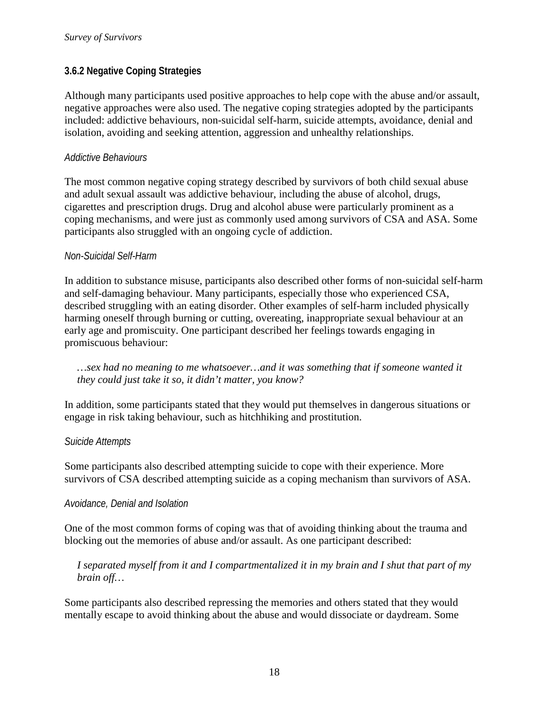#### **3.6.2 Negative Coping Strategies**

Although many participants used positive approaches to help cope with the abuse and/or assault, negative approaches were also used. The negative coping strategies adopted by the participants included: addictive behaviours, non-suicidal self-harm, suicide attempts, avoidance, denial and isolation, avoiding and seeking attention, aggression and unhealthy relationships.

#### *Addictive Behaviours*

The most common negative coping strategy described by survivors of both child sexual abuse and adult sexual assault was addictive behaviour, including the abuse of alcohol, drugs, cigarettes and prescription drugs. Drug and alcohol abuse were particularly prominent as a coping mechanisms, and were just as commonly used among survivors of CSA and ASA. Some participants also struggled with an ongoing cycle of addiction.

#### *Non-Suicidal Self-Harm*

In addition to substance misuse, participants also described other forms of non-suicidal self-harm and self-damaging behaviour. Many participants, especially those who experienced CSA, described struggling with an eating disorder. Other examples of self-harm included physically harming oneself through burning or cutting, overeating, inappropriate sexual behaviour at an early age and promiscuity. One participant described her feelings towards engaging in promiscuous behaviour:

*…sex had no meaning to me whatsoever…and it was something that if someone wanted it they could just take it so, it didn't matter, you know?*

In addition, some participants stated that they would put themselves in dangerous situations or engage in risk taking behaviour, such as hitchhiking and prostitution.

#### *Suicide Attempts*

Some participants also described attempting suicide to cope with their experience. More survivors of CSA described attempting suicide as a coping mechanism than survivors of ASA.

#### *Avoidance, Denial and Isolation*

One of the most common forms of coping was that of avoiding thinking about the trauma and blocking out the memories of abuse and/or assault. As one participant described:

*I separated myself from it and I compartmentalized it in my brain and I shut that part of my brain off…* 

Some participants also described repressing the memories and others stated that they would mentally escape to avoid thinking about the abuse and would dissociate or daydream. Some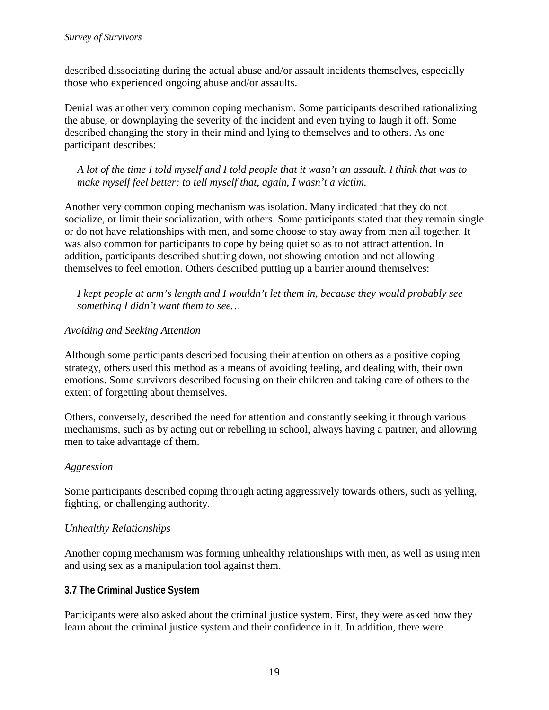described dissociating during the actual abuse and/or assault incidents themselves, especially those who experienced ongoing abuse and/or assaults.

Denial was another very common coping mechanism. Some participants described rationalizing the abuse, or downplaying the severity of the incident and even trying to laugh it off. Some described changing the story in their mind and lying to themselves and to others. As one participant describes:

*A lot of the time I told myself and I told people that it wasn't an assault. I think that was to make myself feel better; to tell myself that, again, I wasn't a victim.*

Another very common coping mechanism was isolation. Many indicated that they do not socialize, or limit their socialization, with others. Some participants stated that they remain single or do not have relationships with men, and some choose to stay away from men all together. It was also common for participants to cope by being quiet so as to not attract attention. In addition, participants described shutting down, not showing emotion and not allowing themselves to feel emotion. Others described putting up a barrier around themselves:

*I kept people at arm's length and I wouldn't let them in, because they would probably see something I didn't want them to see…* 

#### *Avoiding and Seeking Attention*

Although some participants described focusing their attention on others as a positive coping strategy, others used this method as a means of avoiding feeling, and dealing with, their own emotions. Some survivors described focusing on their children and taking care of others to the extent of forgetting about themselves.

Others, conversely, described the need for attention and constantly seeking it through various mechanisms, such as by acting out or rebelling in school, always having a partner, and allowing men to take advantage of them.

## *Aggression*

Some participants described coping through acting aggressively towards others, such as yelling, fighting, or challenging authority.

#### *Unhealthy Relationships*

Another coping mechanism was forming unhealthy relationships with men, as well as using men and using sex as a manipulation tool against them.

#### **3.7 The Criminal Justice System**

Participants were also asked about the criminal justice system. First, they were asked how they learn about the criminal justice system and their confidence in it. In addition, there were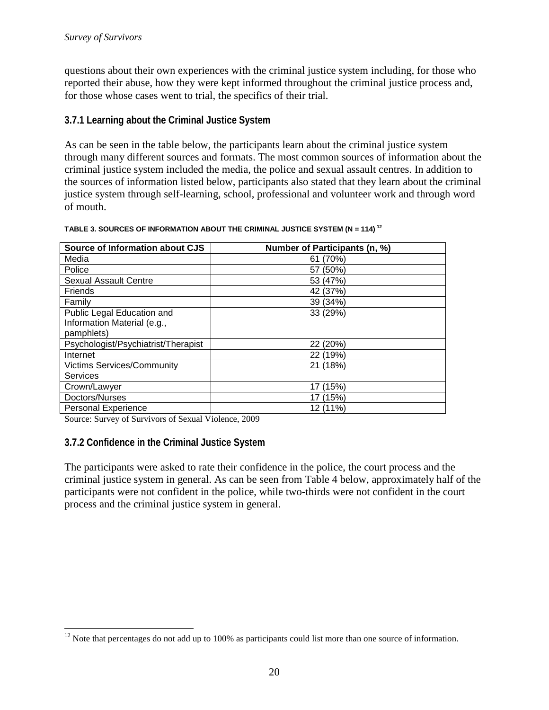questions about their own experiences with the criminal justice system including, for those who reported their abuse, how they were kept informed throughout the criminal justice process and, for those whose cases went to trial, the specifics of their trial.

#### **3.7.1 Learning about the Criminal Justice System**

As can be seen in the table below, the participants learn about the criminal justice system through many different sources and formats. The most common sources of information about the criminal justice system included the media, the police and sexual assault centres. In addition to the sources of information listed below, participants also stated that they learn about the criminal justice system through self-learning, school, professional and volunteer work and through word of mouth.

| Source of Information about CJS     | Number of Participants (n, %) |
|-------------------------------------|-------------------------------|
| Media                               | 61 (70%)                      |
| Police                              | 57 (50%)                      |
| <b>Sexual Assault Centre</b>        | 53 (47%)                      |
| <b>Friends</b>                      | 42 (37%)                      |
| Family                              | 39 (34%)                      |
| Public Legal Education and          | 33 (29%)                      |
| Information Material (e.g.,         |                               |
| pamphlets)                          |                               |
| Psychologist/Psychiatrist/Therapist | 22 (20%)                      |
| Internet                            | 22 (19%)                      |
| <b>Victims Services/Community</b>   | 21 (18%)                      |
| Services                            |                               |
| Crown/Lawyer                        | (15%)<br>17                   |
| Doctors/Nurses                      | (15%)                         |
| <b>Personal Experience</b>          | 12 (11%)                      |

#### <span id="page-19-0"></span>**TABLE 3. SOURCES OF INFORMATION ABOUT THE CRIMINAL JUSTICE SYSTEM (N = 114) [12](#page-19-1)**

Source: Survey of Survivors of Sexual Violence, 2009

#### **3.7.2 Confidence in the Criminal Justice System**

The participants were asked to rate their confidence in the police, the court process and the criminal justice system in general. As can be seen from Table 4 below, approximately half of the participants were not confident in the police, while two-thirds were not confident in the court process and the criminal justice system in general.

<span id="page-19-1"></span><sup>&</sup>lt;sup>12</sup> Note that percentages do not add up to 100% as participants could list more than one source of information.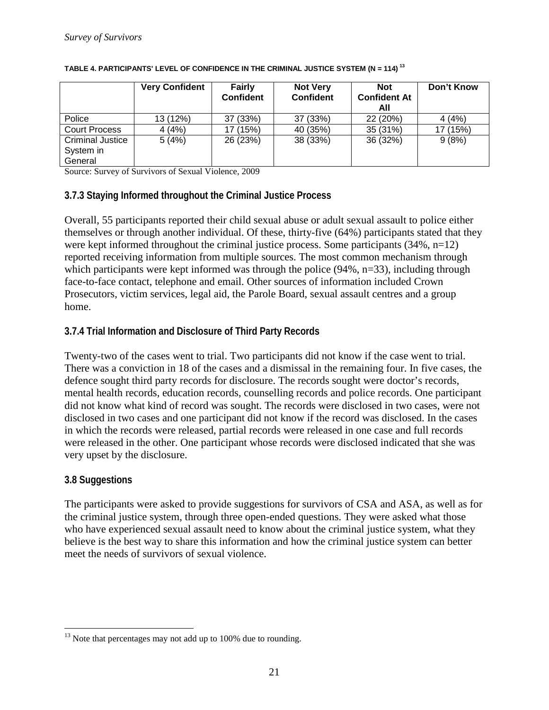|                                                 | <b>Very Confident</b> | <b>Fairly</b><br><b>Confident</b> | <b>Not Very</b><br>Confident | <b>Not</b><br><b>Confident At</b><br>All | Don't Know |
|-------------------------------------------------|-----------------------|-----------------------------------|------------------------------|------------------------------------------|------------|
| Police                                          | 13 (12%)              | 37 (33%)                          | 37 (33%)                     | 22 (20%)                                 | 4(4%)      |
| <b>Court Process</b>                            | 4(4%)                 | 17 (15%)                          | 40 (35%)                     | 35 (31%)                                 | 17 (15%)   |
| <b>Criminal Justice</b><br>System in<br>General | 5(4%)                 | 26 (23%)                          | 38 (33%)                     | 36 (32%)                                 | 9(8%)      |

#### <span id="page-20-0"></span>**TABLE 4. PARTICIPANTS' LEVEL OF CONFIDENCE IN THE CRIMINAL JUSTICE SYSTEM (N = 114) [13](#page-20-1)**

Source: Survey of Survivors of Sexual Violence, 2009

#### **3.7.3 Staying Informed throughout the Criminal Justice Process**

Overall, 55 participants reported their child sexual abuse or adult sexual assault to police either themselves or through another individual. Of these, thirty-five (64%) participants stated that they were kept informed throughout the criminal justice process. Some participants (34%, n=12) reported receiving information from multiple sources. The most common mechanism through which participants were kept informed was through the police (94%, n=33), including through face-to-face contact, telephone and email. Other sources of information included Crown Prosecutors, victim services, legal aid, the Parole Board, sexual assault centres and a group home.

#### **3.7.4 Trial Information and Disclosure of Third Party Records**

Twenty-two of the cases went to trial. Two participants did not know if the case went to trial. There was a conviction in 18 of the cases and a dismissal in the remaining four. In five cases, the defence sought third party records for disclosure. The records sought were doctor's records, mental health records, education records, counselling records and police records. One participant did not know what kind of record was sought. The records were disclosed in two cases, were not disclosed in two cases and one participant did not know if the record was disclosed. In the cases in which the records were released, partial records were released in one case and full records were released in the other. One participant whose records were disclosed indicated that she was very upset by the disclosure.

#### **3.8 Suggestions**

The participants were asked to provide suggestions for survivors of CSA and ASA, as well as for the criminal justice system, through three open-ended questions. They were asked what those who have experienced sexual assault need to know about the criminal justice system, what they believe is the best way to share this information and how the criminal justice system can better meet the needs of survivors of sexual violence.

<span id="page-20-1"></span> $13$  Note that percentages may not add up to 100% due to rounding.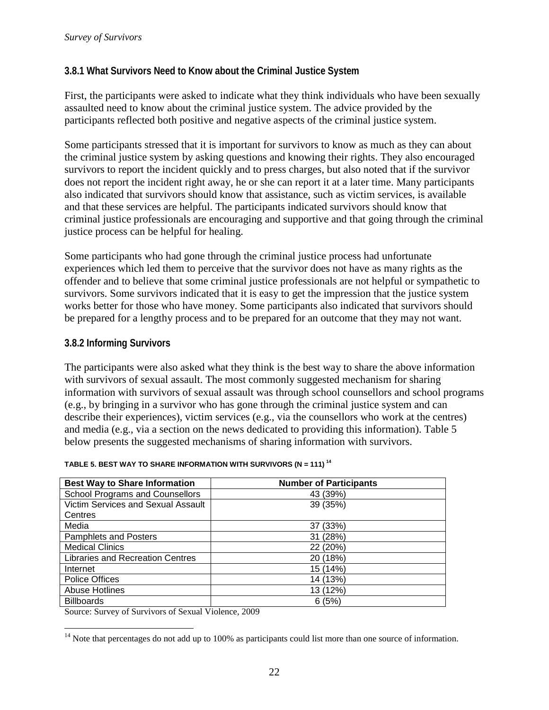#### **3.8.1 What Survivors Need to Know about the Criminal Justice System**

First, the participants were asked to indicate what they think individuals who have been sexually assaulted need to know about the criminal justice system. The advice provided by the participants reflected both positive and negative aspects of the criminal justice system.

Some participants stressed that it is important for survivors to know as much as they can about the criminal justice system by asking questions and knowing their rights. They also encouraged survivors to report the incident quickly and to press charges, but also noted that if the survivor does not report the incident right away, he or she can report it at a later time. Many participants also indicated that survivors should know that assistance, such as victim services, is available and that these services are helpful. The participants indicated survivors should know that criminal justice professionals are encouraging and supportive and that going through the criminal justice process can be helpful for healing.

Some participants who had gone through the criminal justice process had unfortunate experiences which led them to perceive that the survivor does not have as many rights as the offender and to believe that some criminal justice professionals are not helpful or sympathetic to survivors. Some survivors indicated that it is easy to get the impression that the justice system works better for those who have money. Some participants also indicated that survivors should be prepared for a lengthy process and to be prepared for an outcome that they may not want.

#### **3.8.2 Informing Survivors**

The participants were also asked what they think is the best way to share the above information with survivors of sexual assault. The most commonly suggested mechanism for sharing information with survivors of sexual assault was through school counsellors and school programs (e.g., by bringing in a survivor who has gone through the criminal justice system and can describe their experiences), victim services (e.g., via the counsellors who work at the centres) and media (e.g., via a section on the news dedicated to providing this information). Table 5 below presents the suggested mechanisms of sharing information with survivors.

| <b>Best Way to Share Information</b>    | <b>Number of Participants</b> |  |
|-----------------------------------------|-------------------------------|--|
| School Programs and Counsellors         | 43 (39%)                      |  |
| Victim Services and Sexual Assault      | 39 (35%)                      |  |
| Centres                                 |                               |  |
| Media                                   | 37 (33%)                      |  |
| Pamphlets and Posters                   | 31 (28%)                      |  |
| <b>Medical Clinics</b>                  | 22 (20%)                      |  |
| <b>Libraries and Recreation Centres</b> | 20 (18%)                      |  |
| Internet                                | 15 (14%)                      |  |
| <b>Police Offices</b>                   | 14 (13%)                      |  |
| <b>Abuse Hotlines</b>                   | 13 (12%)                      |  |
| <b>Billboards</b>                       | 6(5%)                         |  |

#### <span id="page-21-0"></span>**TABLE 5. BEST WAY TO SHARE INFORMATION WITH SURVIVORS (N = 111) [14](#page-21-1)**

Source: Survey of Survivors of Sexual Violence, 2009

<span id="page-21-1"></span> $14$  Note that percentages do not add up to 100% as participants could list more than one source of information.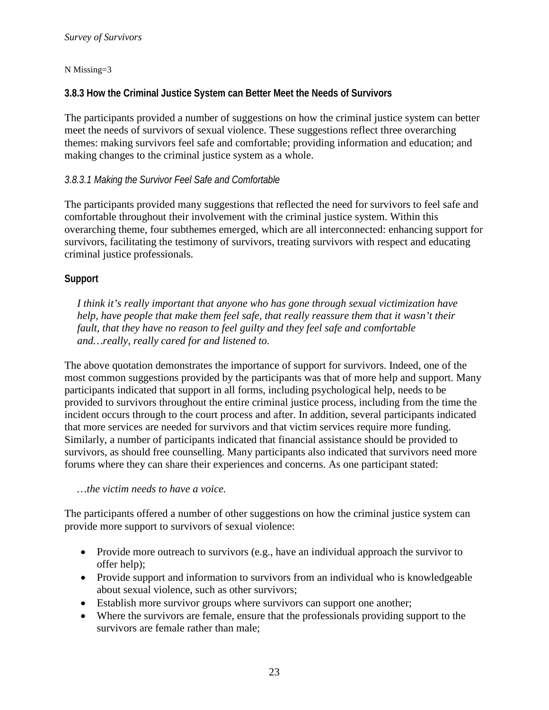#### N Missing=3

#### **3.8.3 How the Criminal Justice System can Better Meet the Needs of Survivors**

The participants provided a number of suggestions on how the criminal justice system can better meet the needs of survivors of sexual violence. These suggestions reflect three overarching themes: making survivors feel safe and comfortable; providing information and education; and making changes to the criminal justice system as a whole.

#### *3.8.3.1 Making the Survivor Feel Safe and Comfortable*

The participants provided many suggestions that reflected the need for survivors to feel safe and comfortable throughout their involvement with the criminal justice system. Within this overarching theme, four subthemes emerged, which are all interconnected: enhancing support for survivors, facilitating the testimony of survivors, treating survivors with respect and educating criminal justice professionals.

#### **Support**

*I think it's really important that anyone who has gone through sexual victimization have help, have people that make them feel safe, that really reassure them that it wasn't their fault, that they have no reason to feel guilty and they feel safe and comfortable and…really, really cared for and listened to.*

The above quotation demonstrates the importance of support for survivors. Indeed, one of the most common suggestions provided by the participants was that of more help and support. Many participants indicated that support in all forms, including psychological help, needs to be provided to survivors throughout the entire criminal justice process, including from the time the incident occurs through to the court process and after. In addition, several participants indicated that more services are needed for survivors and that victim services require more funding. Similarly, a number of participants indicated that financial assistance should be provided to survivors, as should free counselling. Many participants also indicated that survivors need more forums where they can share their experiences and concerns. As one participant stated:

#### *…the victim needs to have a voice.*

The participants offered a number of other suggestions on how the criminal justice system can provide more support to survivors of sexual violence:

- Provide more outreach to survivors (e.g., have an individual approach the survivor to offer help);
- Provide support and information to survivors from an individual who is knowledgeable about sexual violence, such as other survivors;
- Establish more survivor groups where survivors can support one another;
- Where the survivors are female, ensure that the professionals providing support to the survivors are female rather than male;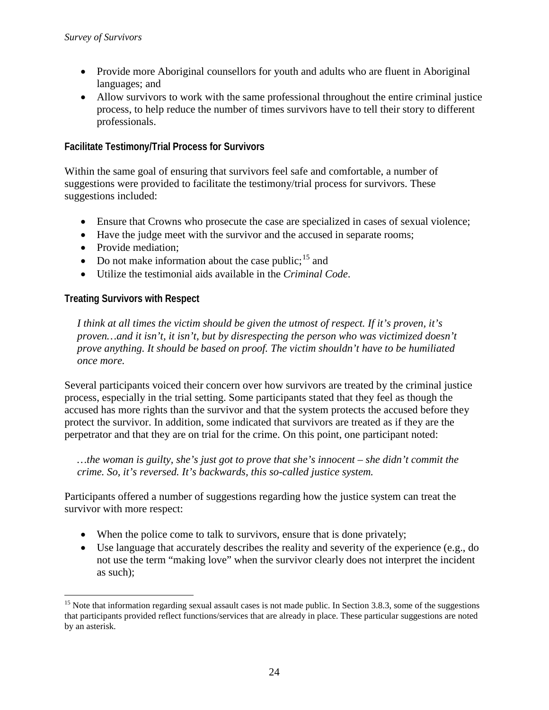- Provide more Aboriginal counsellors for youth and adults who are fluent in Aboriginal languages; and
- Allow survivors to work with the same professional throughout the entire criminal justice process, to help reduce the number of times survivors have to tell their story to different professionals.

#### **Facilitate Testimony/Trial Process for Survivors**

Within the same goal of ensuring that survivors feel safe and comfortable, a number of suggestions were provided to facilitate the testimony/trial process for survivors. These suggestions included:

- Ensure that Crowns who prosecute the case are specialized in cases of sexual violence;
- Have the judge meet with the survivor and the accused in separate rooms;
- Provide mediation:
- Do not make information about the case public;  $15$  and
- Utilize the testimonial aids available in the *Criminal Code*.

#### **Treating Survivors with Respect**

*I think at all times the victim should be given the utmost of respect. If it's proven, it's proven…and it isn't, it isn't, but by disrespecting the person who was victimized doesn't prove anything. It should be based on proof. The victim shouldn't have to be humiliated once more.*

Several participants voiced their concern over how survivors are treated by the criminal justice process, especially in the trial setting. Some participants stated that they feel as though the accused has more rights than the survivor and that the system protects the accused before they protect the survivor. In addition, some indicated that survivors are treated as if they are the perpetrator and that they are on trial for the crime. On this point, one participant noted:

*…the woman is guilty, she's just got to prove that she's innocent – she didn't commit the crime. So, it's reversed. It's backwards, this so-called justice system.*

Participants offered a number of suggestions regarding how the justice system can treat the survivor with more respect:

- When the police come to talk to survivors, ensure that is done privately;
- Use language that accurately describes the reality and severity of the experience (e.g., do not use the term "making love" when the survivor clearly does not interpret the incident as such);

<span id="page-23-0"></span><sup>&</sup>lt;sup>15</sup> Note that information regarding sexual assault cases is not made public. In Section 3.8.3, some of the suggestions that participants provided reflect functions/services that are already in place. These particular suggestions are noted by an asterisk.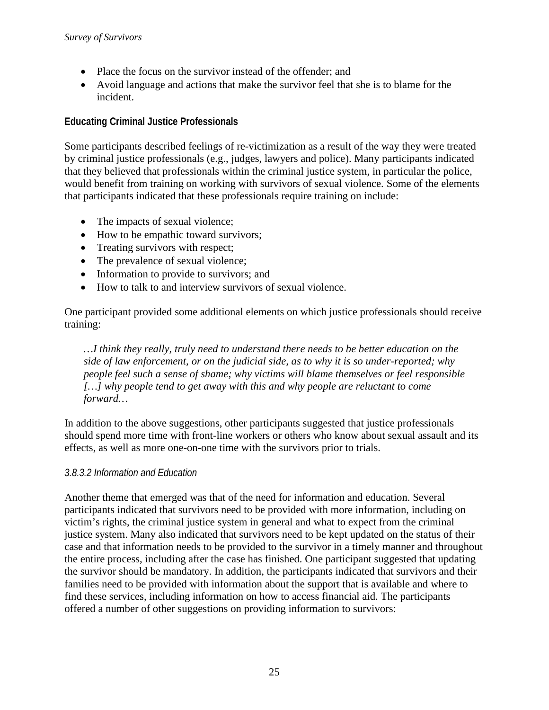- Place the focus on the survivor instead of the offender; and
- Avoid language and actions that make the survivor feel that she is to blame for the incident.

#### **Educating Criminal Justice Professionals**

Some participants described feelings of re-victimization as a result of the way they were treated by criminal justice professionals (e.g., judges, lawyers and police). Many participants indicated that they believed that professionals within the criminal justice system, in particular the police, would benefit from training on working with survivors of sexual violence. Some of the elements that participants indicated that these professionals require training on include:

- The impacts of sexual violence;
- How to be empathic toward survivors;
- Treating survivors with respect;
- The prevalence of sexual violence;
- Information to provide to survivors; and
- How to talk to and interview survivors of sexual violence.

One participant provided some additional elements on which justice professionals should receive training:

*…I think they really, truly need to understand there needs to be better education on the side of law enforcement, or on the judicial side, as to why it is so under-reported; why people feel such a sense of shame; why victims will blame themselves or feel responsible […] why people tend to get away with this and why people are reluctant to come forward…* 

In addition to the above suggestions, other participants suggested that justice professionals should spend more time with front-line workers or others who know about sexual assault and its effects, as well as more one-on-one time with the survivors prior to trials.

#### *3.8.3.2 Information and Education*

Another theme that emerged was that of the need for information and education. Several participants indicated that survivors need to be provided with more information, including on victim's rights, the criminal justice system in general and what to expect from the criminal justice system. Many also indicated that survivors need to be kept updated on the status of their case and that information needs to be provided to the survivor in a timely manner and throughout the entire process, including after the case has finished. One participant suggested that updating the survivor should be mandatory. In addition, the participants indicated that survivors and their families need to be provided with information about the support that is available and where to find these services, including information on how to access financial aid. The participants offered a number of other suggestions on providing information to survivors: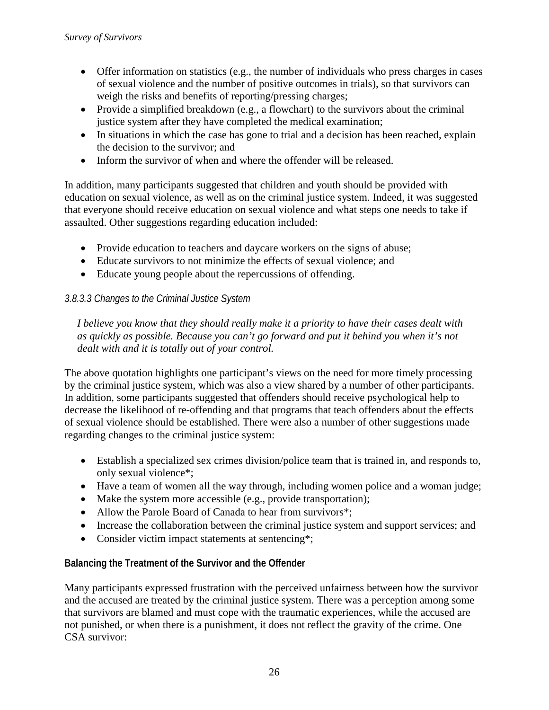- Offer information on statistics (e.g., the number of individuals who press charges in cases of sexual violence and the number of positive outcomes in trials), so that survivors can weigh the risks and benefits of reporting/pressing charges;
- Provide a simplified breakdown (e.g., a flowchart) to the survivors about the criminal justice system after they have completed the medical examination;
- In situations in which the case has gone to trial and a decision has been reached, explain the decision to the survivor; and
- Inform the survivor of when and where the offender will be released.

In addition, many participants suggested that children and youth should be provided with education on sexual violence, as well as on the criminal justice system. Indeed, it was suggested that everyone should receive education on sexual violence and what steps one needs to take if assaulted. Other suggestions regarding education included:

- Provide education to teachers and daycare workers on the signs of abuse;
- Educate survivors to not minimize the effects of sexual violence; and
- Educate young people about the repercussions of offending.

#### *3.8.3.3 Changes to the Criminal Justice System*

*I believe you know that they should really make it a priority to have their cases dealt with as quickly as possible. Because you can't go forward and put it behind you when it's not dealt with and it is totally out of your control.*

The above quotation highlights one participant's views on the need for more timely processing by the criminal justice system, which was also a view shared by a number of other participants. In addition, some participants suggested that offenders should receive psychological help to decrease the likelihood of re-offending and that programs that teach offenders about the effects of sexual violence should be established. There were also a number of other suggestions made regarding changes to the criminal justice system:

- Establish a specialized sex crimes division/police team that is trained in, and responds to, only sexual violence\*;
- Have a team of women all the way through, including women police and a woman judge;
- Make the system more accessible (e.g., provide transportation);
- Allow the Parole Board of Canada to hear from survivors\*;
- Increase the collaboration between the criminal justice system and support services; and
- Consider victim impact statements at sentencing\*;

#### **Balancing the Treatment of the Survivor and the Offender**

Many participants expressed frustration with the perceived unfairness between how the survivor and the accused are treated by the criminal justice system. There was a perception among some that survivors are blamed and must cope with the traumatic experiences, while the accused are not punished, or when there is a punishment, it does not reflect the gravity of the crime. One CSA survivor: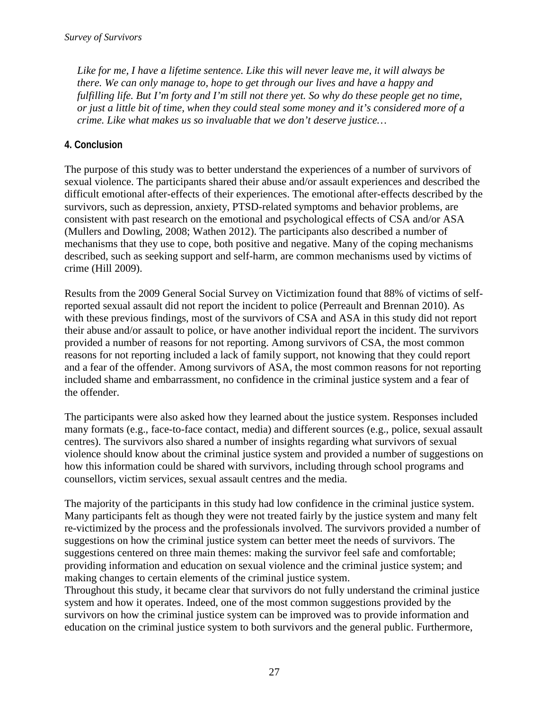*Like for me, I have a lifetime sentence. Like this will never leave me, it will always be there. We can only manage to, hope to get through our lives and have a happy and fulfilling life. But I'm forty and I'm still not there yet. So why do these people get no time, or just a little bit of time, when they could steal some money and it's considered more of a crime. Like what makes us so invaluable that we don't deserve justice…*

#### **4. Conclusion**

The purpose of this study was to better understand the experiences of a number of survivors of sexual violence. The participants shared their abuse and/or assault experiences and described the difficult emotional after-effects of their experiences. The emotional after-effects described by the survivors, such as depression, anxiety, PTSD-related symptoms and behavior problems, are consistent with past research on the emotional and psychological effects of CSA and/or ASA (Mullers and Dowling, 2008; Wathen 2012). The participants also described a number of mechanisms that they use to cope, both positive and negative. Many of the coping mechanisms described, such as seeking support and self-harm, are common mechanisms used by victims of crime (Hill 2009).

Results from the 2009 General Social Survey on Victimization found that 88% of victims of selfreported sexual assault did not report the incident to police (Perreault and Brennan 2010). As with these previous findings, most of the survivors of CSA and ASA in this study did not report their abuse and/or assault to police, or have another individual report the incident. The survivors provided a number of reasons for not reporting. Among survivors of CSA, the most common reasons for not reporting included a lack of family support, not knowing that they could report and a fear of the offender. Among survivors of ASA, the most common reasons for not reporting included shame and embarrassment, no confidence in the criminal justice system and a fear of the offender.

The participants were also asked how they learned about the justice system. Responses included many formats (e.g., face-to-face contact, media) and different sources (e.g., police, sexual assault centres). The survivors also shared a number of insights regarding what survivors of sexual violence should know about the criminal justice system and provided a number of suggestions on how this information could be shared with survivors, including through school programs and counsellors, victim services, sexual assault centres and the media.

The majority of the participants in this study had low confidence in the criminal justice system. Many participants felt as though they were not treated fairly by the justice system and many felt re-victimized by the process and the professionals involved. The survivors provided a number of suggestions on how the criminal justice system can better meet the needs of survivors. The suggestions centered on three main themes: making the survivor feel safe and comfortable; providing information and education on sexual violence and the criminal justice system; and making changes to certain elements of the criminal justice system.

Throughout this study, it became clear that survivors do not fully understand the criminal justice system and how it operates. Indeed, one of the most common suggestions provided by the survivors on how the criminal justice system can be improved was to provide information and education on the criminal justice system to both survivors and the general public. Furthermore,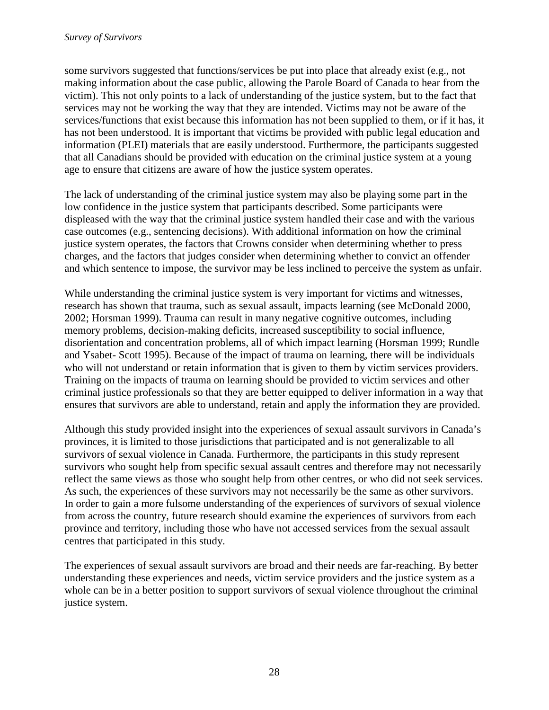some survivors suggested that functions/services be put into place that already exist (e.g., not making information about the case public, allowing the Parole Board of Canada to hear from the victim). This not only points to a lack of understanding of the justice system, but to the fact that services may not be working the way that they are intended. Victims may not be aware of the services/functions that exist because this information has not been supplied to them, or if it has, it has not been understood. It is important that victims be provided with public legal education and information (PLEI) materials that are easily understood. Furthermore, the participants suggested that all Canadians should be provided with education on the criminal justice system at a young age to ensure that citizens are aware of how the justice system operates.

The lack of understanding of the criminal justice system may also be playing some part in the low confidence in the justice system that participants described. Some participants were displeased with the way that the criminal justice system handled their case and with the various case outcomes (e.g., sentencing decisions). With additional information on how the criminal justice system operates, the factors that Crowns consider when determining whether to press charges, and the factors that judges consider when determining whether to convict an offender and which sentence to impose, the survivor may be less inclined to perceive the system as unfair.

While understanding the criminal justice system is very important for victims and witnesses, research has shown that trauma, such as sexual assault, impacts learning (see McDonald 2000, 2002; Horsman 1999). Trauma can result in many negative cognitive outcomes, including memory problems, decision-making deficits, increased susceptibility to social influence, disorientation and concentration problems, all of which impact learning (Horsman 1999; Rundle and Ysabet- Scott 1995). Because of the impact of trauma on learning, there will be individuals who will not understand or retain information that is given to them by victim services providers. Training on the impacts of trauma on learning should be provided to victim services and other criminal justice professionals so that they are better equipped to deliver information in a way that ensures that survivors are able to understand, retain and apply the information they are provided.

Although this study provided insight into the experiences of sexual assault survivors in Canada's provinces, it is limited to those jurisdictions that participated and is not generalizable to all survivors of sexual violence in Canada. Furthermore, the participants in this study represent survivors who sought help from specific sexual assault centres and therefore may not necessarily reflect the same views as those who sought help from other centres, or who did not seek services. As such, the experiences of these survivors may not necessarily be the same as other survivors. In order to gain a more fulsome understanding of the experiences of survivors of sexual violence from across the country, future research should examine the experiences of survivors from each province and territory, including those who have not accessed services from the sexual assault centres that participated in this study.

The experiences of sexual assault survivors are broad and their needs are far-reaching. By better understanding these experiences and needs, victim service providers and the justice system as a whole can be in a better position to support survivors of sexual violence throughout the criminal justice system.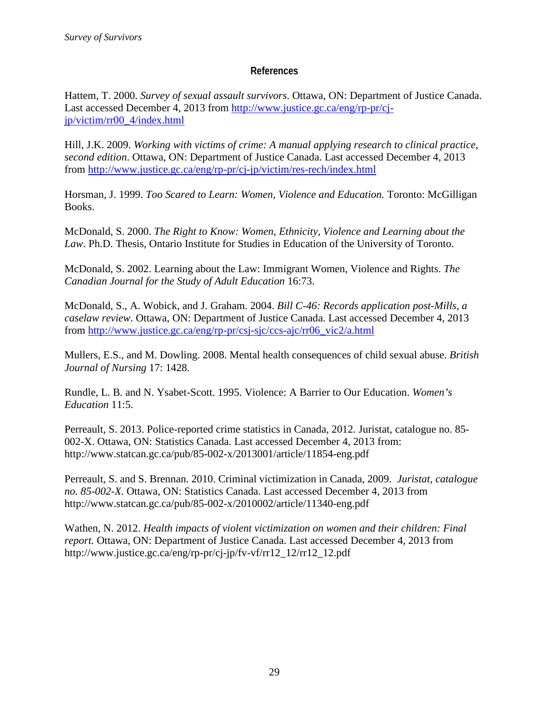#### **References**

Hattem, T. 2000. *Survey of sexual assault survivors*. Ottawa, ON: Department of Justice Canada. Last accessed December 4, 2013 from [http://www.justice.gc.ca/eng/rp-pr/cj](http://www.justice.gc.ca/eng/rp-pr/cj-jp/victim/rr00_4/index.html)[jp/victim/rr00\\_4/index.html](http://www.justice.gc.ca/eng/rp-pr/cj-jp/victim/rr00_4/index.html)

Hill, J.K. 2009. *Working with victims of crime: A manual applying research to clinical practice, second edition*. Ottawa, ON: Department of Justice Canada. Last accessed December 4, 2013 from<http://www.justice.gc.ca/eng/rp-pr/cj-jp/victim/res-rech/index.html>

Horsman, J. 1999. *Too Scared to Learn: Women, Violence and Education.* Toronto: McGilligan Books.

McDonald, S. 2000. *The Right to Know: Women, Ethnicity, Violence and Learning about the Law*. Ph.D. Thesis, Ontario Institute for Studies in Education of the University of Toronto.

McDonald, S. 2002. Learning about the Law: Immigrant Women, Violence and Rights. *The Canadian Journal for the Study of Adult Education* 16:73.

McDonald, S., A. Wobick, and J. Graham. 2004. *Bill C-46: Records application post-Mills, a caselaw review*. Ottawa, ON: Department of Justice Canada. Last accessed December 4, 2013 from [http://www.justice.gc.ca/eng/rp-pr/csj-sjc/ccs-ajc/rr06\\_vic2/a.html](http://www.justice.gc.ca/eng/rp-pr/csj-sjc/ccs-ajc/rr06_vic2/a.html)

Mullers, E.S., and M. Dowling. 2008. Mental health consequences of child sexual abuse. *British Journal of Nursing* 17: 1428.

Rundle, L. B. and N. Ysabet-Scott. 1995. Violence: A Barrier to Our Education. *Women's Education* 11:5.

Perreault, S. 2013. Police-reported crime statistics in Canada, 2012. Juristat, catalogue no. 85- 002-X. Ottawa, ON: Statistics Canada. Last accessed December 4, 2013 from: http://www.statcan.gc.ca/pub/85-002-x/2013001/article/11854-eng.pdf

Perreault, S. and S. Brennan. 2010. Criminal victimization in Canada, 2009. *Juristat, catalogue no. 85-002-X*. Ottawa, ON: Statistics Canada. Last accessed December 4, 2013 from http://www.statcan.gc.ca/pub/85-002-x/2010002/article/11340-eng.pdf

Wathen, N. 2012. *Health impacts of violent victimization on women and their children: Final report.* Ottawa, ON: Department of Justice Canada. Last accessed December 4, 2013 from http://www.justice.gc.ca/eng/rp-pr/cj-jp/fv-vf/rr12\_12/rr12\_12.pdf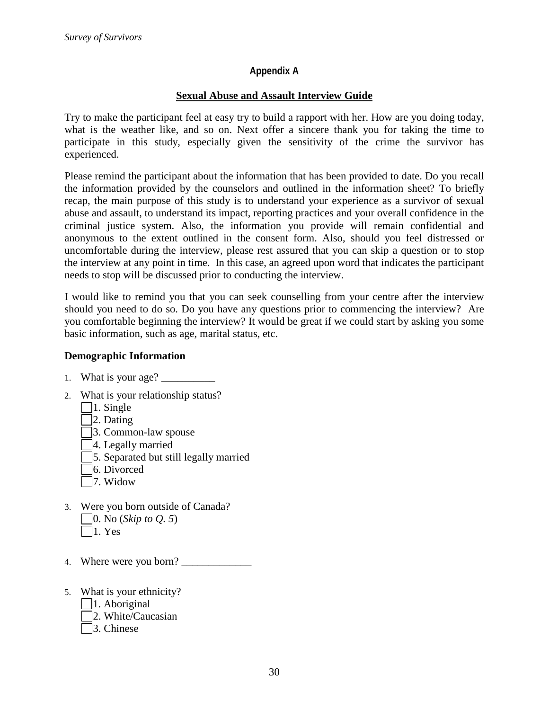#### **Appendix A**

#### **Sexual Abuse and Assault Interview Guide**

Try to make the participant feel at easy try to build a rapport with her. How are you doing today, what is the weather like, and so on. Next offer a sincere thank you for taking the time to participate in this study, especially given the sensitivity of the crime the survivor has experienced.

Please remind the participant about the information that has been provided to date. Do you recall the information provided by the counselors and outlined in the information sheet? To briefly recap, the main purpose of this study is to understand your experience as a survivor of sexual abuse and assault, to understand its impact, reporting practices and your overall confidence in the criminal justice system. Also, the information you provide will remain confidential and anonymous to the extent outlined in the consent form. Also, should you feel distressed or uncomfortable during the interview, please rest assured that you can skip a question or to stop the interview at any point in time. In this case, an agreed upon word that indicates the participant needs to stop will be discussed prior to conducting the interview.

I would like to remind you that you can seek counselling from your centre after the interview should you need to do so. Do you have any questions prior to commencing the interview? Are you comfortable beginning the interview? It would be great if we could start by asking you some basic information, such as age, marital status, etc.

#### **Demographic Information**

- 1. What is your age?
- 2. What is your relationship status?
	- |  $\vert$ 1. Single
	- 2. Dating
	- 3. Common-law spouse
	- 4. Legally married
	- 5. Separated but still legally married
	- 6. Divorced
	- 7. Widow
- 3. Were you born outside of Canada? 0. No (*Skip to Q. 5*) |  $|1.$  Yes
- 4. Where were you born?
- 5. What is your ethnicity?
	- | 1. Aboriginal
	- 2. White/Caucasian
	- 3. Chinese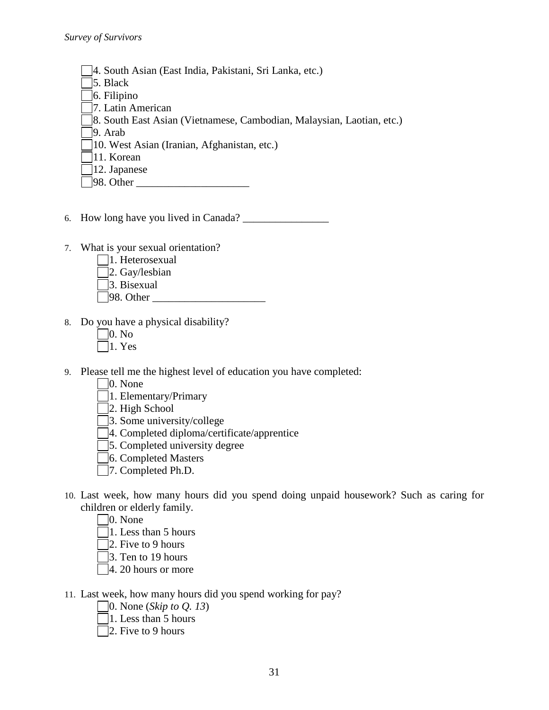- 4. South Asian (East India, Pakistani, Sri Lanka, etc.)
- 5. Black
- 6. Filipino
- 7. Latin American
- 8. South East Asian (Vietnamese, Cambodian, Malaysian, Laotian, etc.)

9. Arab

- 10. West Asian (Iranian, Afghanistan, etc.)
- 11. Korean
- 12. Japanese
- $\Box$ 98. Other
- 6. How long have you lived in Canada? \_\_\_\_\_\_\_\_\_\_\_\_\_\_\_\_
- 7. What is your sexual orientation?
	- 1. Heterosexual
	- 2. Gay/lesbian
	- 3. Bisexual
	- $\Box$ 98. Other
- 8. Do you have a physical disability?
	- $\Box$ 0. No
	- $\exists$ 1. Yes
- 9. Please tell me the highest level of education you have completed:
	- 0. None
	- 1. Elementary/Primary
	- $\Box$ 2. High School
	- 3. Some university/college
	- 4. Completed diploma/certificate/apprentice
	- 5. Completed university degree
	- 6. Completed Masters
	- 7. Completed Ph.D.
- 10. Last week, how many hours did you spend doing unpaid housework? Such as caring for children or elderly family.
	- $\Box$ 0. None
	- $\Box$ 1. Less than 5 hours
	- $\Box$ 2. Five to 9 hours
	- 3. Ten to 19 hours
	- 4. 20 hours or more
- 11. Last week, how many hours did you spend working for pay?
	- 0. None (*Skip to Q. 13*)
	- 1. Less than 5 hours
	- $\Box$ 2. Five to 9 hours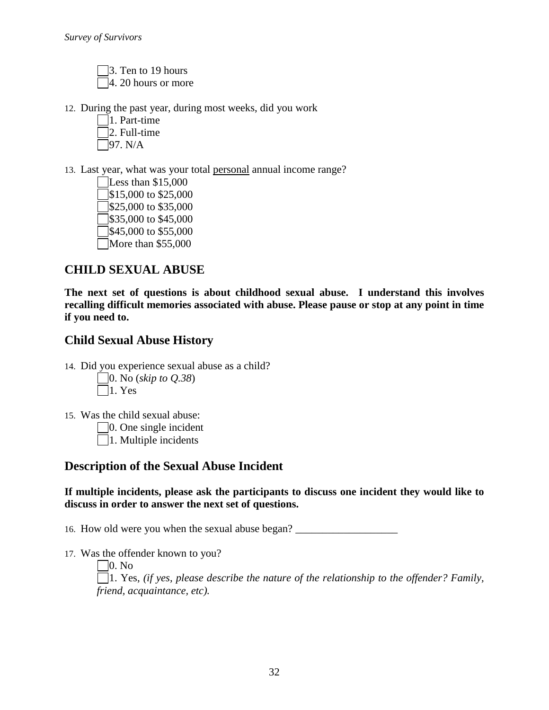3. Ten to 19 hours 4. 20 hours or more

- 12. During the past year, during most weeks, did you work
	- 1. Part-time  $\Box$ 2. Full-time  $\Box$ 97. N/A
- 13. Last year, what was your total personal annual income range?
	- Less than \$15,000  $\sqrt{$}15,000$  to \$25,000  $\sqrt{$}325,000$  to \$35,000  $\sqrt{\$35,000\}$$  to \$45,000  $\sqrt{$45,000}$  to \$55,000 More than \$55,000

# **CHILD SEXUAL ABUSE**

**The next set of questions is about childhood sexual abuse. I understand this involves recalling difficult memories associated with abuse. Please pause or stop at any point in time if you need to.**

## **Child Sexual Abuse History**

14. Did you experience sexual abuse as a child?

0. No (*skip to Q.38*)  $\neg$ 1. Yes

15. Was the child sexual abuse:

0. One single incident

 $\Box$ 1. Multiple incidents

## **Description of the Sexual Abuse Incident**

**If multiple incidents, please ask the participants to discuss one incident they would like to discuss in order to answer the next set of questions.**

16. How old were you when the sexual abuse began?

17. Was the offender known to you?

0. No 1. Yes, *(if yes, please describe the nature of the relationship to the offender? Family, friend, acquaintance, etc).*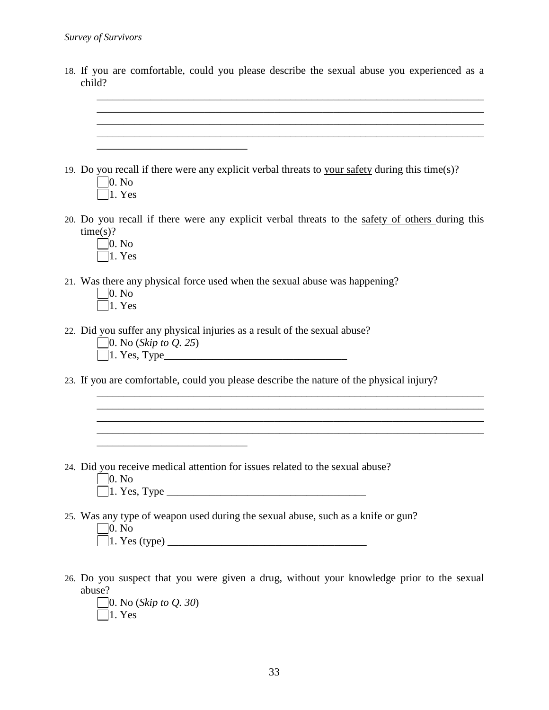| 18. If you are comfortable, could you please describe the sexual abuse you experienced as a<br>child?                                         |
|-----------------------------------------------------------------------------------------------------------------------------------------------|
|                                                                                                                                               |
| and the control of the control of the control of the control of the control of the control of the control of the                              |
| 19. Do you recall if there were any explicit verbal threats to your safety during this time(s)?<br> 0. N <sub>0</sub>  <br>1. Yes             |
| 20. Do you recall if there were any explicit verbal threats to the safety of others during this<br>time(s)?<br> 0. N <sub>0</sub>  <br>1. Yes |
| 21. Was there any physical force used when the sexual abuse was happening?<br> 0. N <sub>0</sub>  <br>$\vert 1.$ Yes                          |
| 22. Did you suffer any physical injuries as a result of the sexual abuse?<br>$\Box$ 0. No ( <i>Skip to Q. 25</i> )                            |
| 23. If you are comfortable, could you please describe the nature of the physical injury?                                                      |
|                                                                                                                                               |
| 24. Did you receive medical attention for issues related to the sexual abuse?<br> 0. N <sub>0</sub><br>$\vert 1. \text{ Yes, Type }$          |
| 25. Was any type of weapon used during the sexual abuse, such as a knife or gun?<br>$\Box$ 0. No                                              |
| 26. Do you suspect that you were given a drug, without your knowledge prior to the sexual<br>abuse?<br>$\Box$ 0. No ( <i>Skip to Q. 30</i> )  |

1. Yes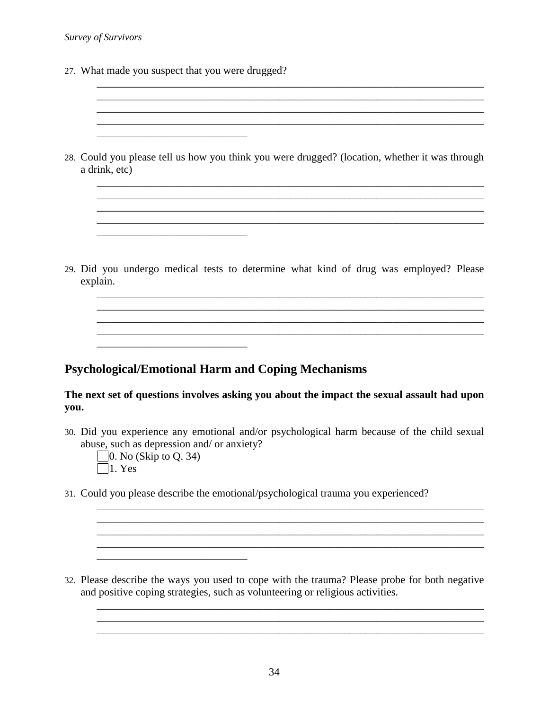27. What made you suspect that you were drugged?

\_\_\_\_\_\_\_\_\_\_\_\_\_\_\_\_\_\_\_\_\_\_\_\_\_\_\_\_

\_\_\_\_\_\_\_\_\_\_\_\_\_\_\_\_\_\_\_\_\_\_\_\_\_\_\_\_

\_\_\_\_\_\_\_\_\_\_\_\_\_\_\_\_\_\_\_\_\_\_\_\_\_\_\_\_

28. Could you please tell us how you think you were drugged? (location, whether it was through a drink, etc)

\_\_\_\_\_\_\_\_\_\_\_\_\_\_\_\_\_\_\_\_\_\_\_\_\_\_\_\_\_\_\_\_\_\_\_\_\_\_\_\_\_\_\_\_\_\_\_\_\_\_\_\_\_\_\_\_\_\_\_\_\_\_\_\_\_\_\_\_\_\_\_\_ \_\_\_\_\_\_\_\_\_\_\_\_\_\_\_\_\_\_\_\_\_\_\_\_\_\_\_\_\_\_\_\_\_\_\_\_\_\_\_\_\_\_\_\_\_\_\_\_\_\_\_\_\_\_\_\_\_\_\_\_\_\_\_\_\_\_\_\_\_\_\_\_ \_\_\_\_\_\_\_\_\_\_\_\_\_\_\_\_\_\_\_\_\_\_\_\_\_\_\_\_\_\_\_\_\_\_\_\_\_\_\_\_\_\_\_\_\_\_\_\_\_\_\_\_\_\_\_\_\_\_\_\_\_\_\_\_\_\_\_\_\_\_\_\_

\_\_\_\_\_\_\_\_\_\_\_\_\_\_\_\_\_\_\_\_\_\_\_\_\_\_\_\_\_\_\_\_\_\_\_\_\_\_\_\_\_\_\_\_\_\_\_\_\_\_\_\_\_\_\_\_\_\_\_\_\_\_\_\_\_\_\_\_\_\_\_\_ \_\_\_\_\_\_\_\_\_\_\_\_\_\_\_\_\_\_\_\_\_\_\_\_\_\_\_\_\_\_\_\_\_\_\_\_\_\_\_\_\_\_\_\_\_\_\_\_\_\_\_\_\_\_\_\_\_\_\_\_\_\_\_\_\_\_\_\_\_\_\_\_

29. Did you undergo medical tests to determine what kind of drug was employed? Please explain.

\_\_\_\_\_\_\_\_\_\_\_\_\_\_\_\_\_\_\_\_\_\_\_\_\_\_\_\_\_\_\_\_\_\_\_\_\_\_\_\_\_\_\_\_\_\_\_\_\_\_\_\_\_\_\_\_\_\_\_\_\_\_\_\_\_\_\_\_\_\_\_\_ \_\_\_\_\_\_\_\_\_\_\_\_\_\_\_\_\_\_\_\_\_\_\_\_\_\_\_\_\_\_\_\_\_\_\_\_\_\_\_\_\_\_\_\_\_\_\_\_\_\_\_\_\_\_\_\_\_\_\_\_\_\_\_\_\_\_\_\_\_\_\_\_ \_\_\_\_\_\_\_\_\_\_\_\_\_\_\_\_\_\_\_\_\_\_\_\_\_\_\_\_\_\_\_\_\_\_\_\_\_\_\_\_\_\_\_\_\_\_\_\_\_\_\_\_\_\_\_\_\_\_\_\_\_\_\_\_\_\_\_\_\_\_\_\_

## **Psychological/Emotional Harm and Coping Mechanisms**

#### **The next set of questions involves asking you about the impact the sexual assault had upon you.**

30. Did you experience any emotional and/or psychological harm because of the child sexual abuse, such as depression and/ or anxiety?

\_\_\_\_\_\_\_\_\_\_\_\_\_\_\_\_\_\_\_\_\_\_\_\_\_\_\_\_\_\_\_\_\_\_\_\_\_\_\_\_\_\_\_\_\_\_\_\_\_\_\_\_\_\_\_\_\_\_\_\_\_\_\_\_\_\_\_\_\_\_\_\_ \_\_\_\_\_\_\_\_\_\_\_\_\_\_\_\_\_\_\_\_\_\_\_\_\_\_\_\_\_\_\_\_\_\_\_\_\_\_\_\_\_\_\_\_\_\_\_\_\_\_\_\_\_\_\_\_\_\_\_\_\_\_\_\_\_\_\_\_\_\_\_\_  $\_$  ,  $\_$  ,  $\_$  ,  $\_$  ,  $\_$  ,  $\_$  ,  $\_$  ,  $\_$  ,  $\_$  ,  $\_$  ,  $\_$  ,  $\_$  ,  $\_$  ,  $\_$  ,  $\_$  ,  $\_$  ,  $\_$  ,  $\_$  ,  $\_$  ,  $\_$ 

- $\Box$ 0. No (Skip to Q. 34)  $\Box$ 1. Yes
- 31. Could you please describe the emotional/psychological trauma you experienced?

32. Please describe the ways you used to cope with the trauma? Please probe for both negative and positive coping strategies, such as volunteering or religious activities.

\_\_\_\_\_\_\_\_\_\_\_\_\_\_\_\_\_\_\_\_\_\_\_\_\_\_\_\_\_\_\_\_\_\_\_\_\_\_\_\_\_\_\_\_\_\_\_\_\_\_\_\_\_\_\_\_\_\_\_\_\_\_\_\_\_\_\_\_\_\_\_\_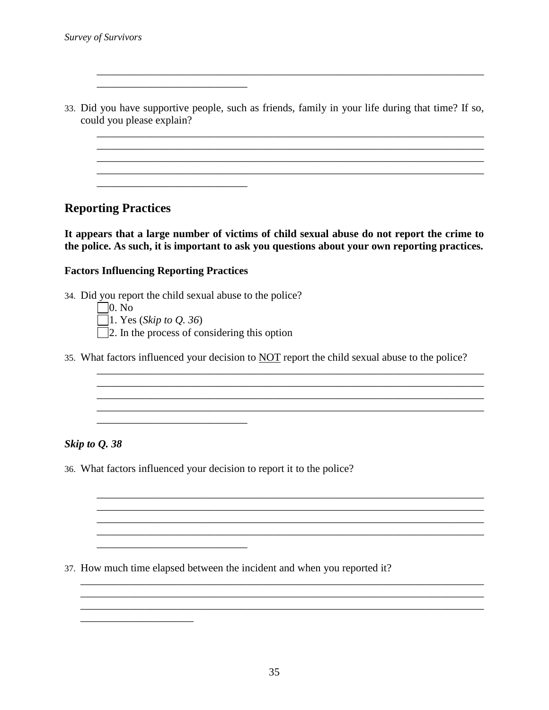33. Did you have supportive people, such as friends, family in your life during that time? If so, could you please explain?

\_\_\_\_\_\_\_\_\_\_\_\_\_\_\_\_\_\_\_\_\_\_\_\_\_\_\_\_\_\_\_\_\_\_\_\_\_\_\_\_\_\_\_\_\_\_\_\_\_\_\_\_\_\_\_\_\_\_\_\_\_\_\_\_\_\_\_\_\_\_\_\_

\_\_\_\_\_\_\_\_\_\_\_\_\_\_\_\_\_\_\_\_\_\_\_\_\_\_\_\_\_\_\_\_\_\_\_\_\_\_\_\_\_\_\_\_\_\_\_\_\_\_\_\_\_\_\_\_\_\_\_\_\_\_\_\_\_\_\_\_\_\_\_\_ \_\_\_\_\_\_\_\_\_\_\_\_\_\_\_\_\_\_\_\_\_\_\_\_\_\_\_\_\_\_\_\_\_\_\_\_\_\_\_\_\_\_\_\_\_\_\_\_\_\_\_\_\_\_\_\_\_\_\_\_\_\_\_\_\_\_\_\_\_\_\_\_ \_\_\_\_\_\_\_\_\_\_\_\_\_\_\_\_\_\_\_\_\_\_\_\_\_\_\_\_\_\_\_\_\_\_\_\_\_\_\_\_\_\_\_\_\_\_\_\_\_\_\_\_\_\_\_\_\_\_\_\_\_\_\_\_\_\_\_\_\_\_\_\_  $\overline{\phantom{a}}$  , and the contribution of the contribution of the contribution of the contribution of the contribution of the contribution of the contribution of the contribution of the contribution of the contribution of the

## **Reporting Practices**

**It appears that a large number of victims of child sexual abuse do not report the crime to the police. As such, it is important to ask you questions about your own reporting practices.** 

#### **Factors Influencing Reporting Practices**

\_\_\_\_\_\_\_\_\_\_\_\_\_\_\_\_\_\_\_\_\_\_\_\_\_\_\_\_

\_\_\_\_\_\_\_\_\_\_\_\_\_\_\_\_\_\_\_\_\_\_\_\_\_\_\_\_

34. Did you report the child sexual abuse to the police?

 $\Box$ 0. No

1. Yes (*Skip to Q. 36*)

\_\_\_\_\_\_\_\_\_\_\_\_\_\_\_\_\_\_\_\_\_\_\_\_\_\_\_\_

\_\_\_\_\_\_\_\_\_\_\_\_\_\_\_\_\_\_\_\_\_

- $\Box$  2. In the process of considering this option
- 35. What factors influenced your decision to NOT report the child sexual abuse to the police?

\_\_\_\_\_\_\_\_\_\_\_\_\_\_\_\_\_\_\_\_\_\_\_\_\_\_\_\_\_\_\_\_\_\_\_\_\_\_\_\_\_\_\_\_\_\_\_\_\_\_\_\_\_\_\_\_\_\_\_\_\_\_\_\_\_\_\_\_\_\_\_\_ \_\_\_\_\_\_\_\_\_\_\_\_\_\_\_\_\_\_\_\_\_\_\_\_\_\_\_\_\_\_\_\_\_\_\_\_\_\_\_\_\_\_\_\_\_\_\_\_\_\_\_\_\_\_\_\_\_\_\_\_\_\_\_\_\_\_\_\_\_\_\_\_

\_\_\_\_\_\_\_\_\_\_\_\_\_\_\_\_\_\_\_\_\_\_\_\_\_\_\_\_\_\_\_\_\_\_\_\_\_\_\_\_\_\_\_\_\_\_\_\_\_\_\_\_\_\_\_\_\_\_\_\_\_\_\_\_\_\_\_\_\_\_\_\_

\_\_\_\_\_\_\_\_\_\_\_\_\_\_\_\_\_\_\_\_\_\_\_\_\_\_\_\_\_\_\_\_\_\_\_\_\_\_\_\_\_\_\_\_\_\_\_\_\_\_\_\_\_\_\_\_\_\_\_\_\_\_\_\_\_\_\_\_\_\_\_\_  $\mathcal{L}_\mathcal{L} = \{ \mathcal{L}_\mathcal{L} = \{ \mathcal{L}_\mathcal{L} = \{ \mathcal{L}_\mathcal{L} = \{ \mathcal{L}_\mathcal{L} = \{ \mathcal{L}_\mathcal{L} = \{ \mathcal{L}_\mathcal{L} = \{ \mathcal{L}_\mathcal{L} = \{ \mathcal{L}_\mathcal{L} = \{ \mathcal{L}_\mathcal{L} = \{ \mathcal{L}_\mathcal{L} = \{ \mathcal{L}_\mathcal{L} = \{ \mathcal{L}_\mathcal{L} = \{ \mathcal{L}_\mathcal{L} = \{ \mathcal{L}_\mathcal{$ 

\_\_\_\_\_\_\_\_\_\_\_\_\_\_\_\_\_\_\_\_\_\_\_\_\_\_\_\_\_\_\_\_\_\_\_\_\_\_\_\_\_\_\_\_\_\_\_\_\_\_\_\_\_\_\_\_\_\_\_\_\_\_\_\_\_\_\_\_\_\_\_\_

\_\_\_\_\_\_\_\_\_\_\_\_\_\_\_\_\_\_\_\_\_\_\_\_\_\_\_\_\_\_\_\_\_\_\_\_\_\_\_\_\_\_\_\_\_\_\_\_\_\_\_\_\_\_\_\_\_\_\_\_\_\_\_\_\_\_\_\_\_\_\_\_\_\_\_

#### *Skip to Q. 38*

36. What factors influenced your decision to report it to the police?

37. How much time elapsed between the incident and when you reported it?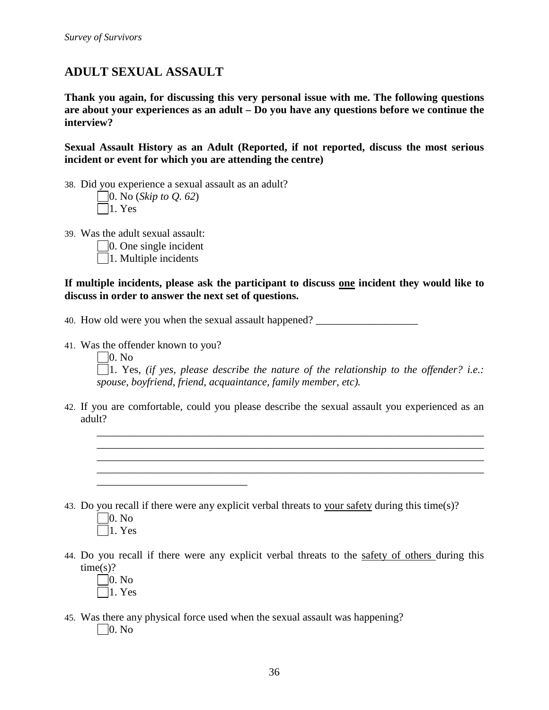# **ADULT SEXUAL ASSAULT**

**Thank you again, for discussing this very personal issue with me. The following questions are about your experiences as an adult – Do you have any questions before we continue the interview?**

**Sexual Assault History as an Adult (Reported, if not reported, discuss the most serious incident or event for which you are attending the centre)**

38. Did you experience a sexual assault as an adult?

| $\Box$ 0. No ( <i>Skip to Q. 62</i> ) |  |
|---------------------------------------|--|
| $ 1. \text{Yes} $                     |  |

- 39. Was the adult sexual assault:
	- $\Box$ 0. One single incident
	- $\Box$ 1. Multiple incidents

**If multiple incidents, please ask the participant to discuss one incident they would like to discuss in order to answer the next set of questions.**

40. How old were you when the sexual assault happened?

41. Was the offender known to you?

\_\_\_\_\_\_\_\_\_\_\_\_\_\_\_\_\_\_\_\_\_\_\_\_\_\_\_\_

 $\Box$ 0. No

1. Yes, *(if yes, please describe the nature of the relationship to the offender? i.e.: spouse, boyfriend, friend, acquaintance, family member, etc).*

\_\_\_\_\_\_\_\_\_\_\_\_\_\_\_\_\_\_\_\_\_\_\_\_\_\_\_\_\_\_\_\_\_\_\_\_\_\_\_\_\_\_\_\_\_\_\_\_\_\_\_\_\_\_\_\_\_\_\_\_\_\_\_\_\_\_\_\_\_\_\_\_ \_\_\_\_\_\_\_\_\_\_\_\_\_\_\_\_\_\_\_\_\_\_\_\_\_\_\_\_\_\_\_\_\_\_\_\_\_\_\_\_\_\_\_\_\_\_\_\_\_\_\_\_\_\_\_\_\_\_\_\_\_\_\_\_\_\_\_\_\_\_\_\_ \_\_\_\_\_\_\_\_\_\_\_\_\_\_\_\_\_\_\_\_\_\_\_\_\_\_\_\_\_\_\_\_\_\_\_\_\_\_\_\_\_\_\_\_\_\_\_\_\_\_\_\_\_\_\_\_\_\_\_\_\_\_\_\_\_\_\_\_\_\_\_\_ \_\_\_\_\_\_\_\_\_\_\_\_\_\_\_\_\_\_\_\_\_\_\_\_\_\_\_\_\_\_\_\_\_\_\_\_\_\_\_\_\_\_\_\_\_\_\_\_\_\_\_\_\_\_\_\_\_\_\_\_\_\_\_\_\_\_\_\_\_\_\_\_

42. If you are comfortable, could you please describe the sexual assault you experienced as an adult?

- 43. Do you recall if there were any explicit verbal threats to your safety during this time(s)?  $\Box$ 0. No
	- $\Box$ 1. Yes
- 44. Do you recall if there were any explicit verbal threats to the safety of others during this  $time(s)?$ 
	- $\square$ 0. No  $\Box$ 1. Yes
- 45. Was there any physical force used when the sexual assault was happening?  $\Box$ 0. No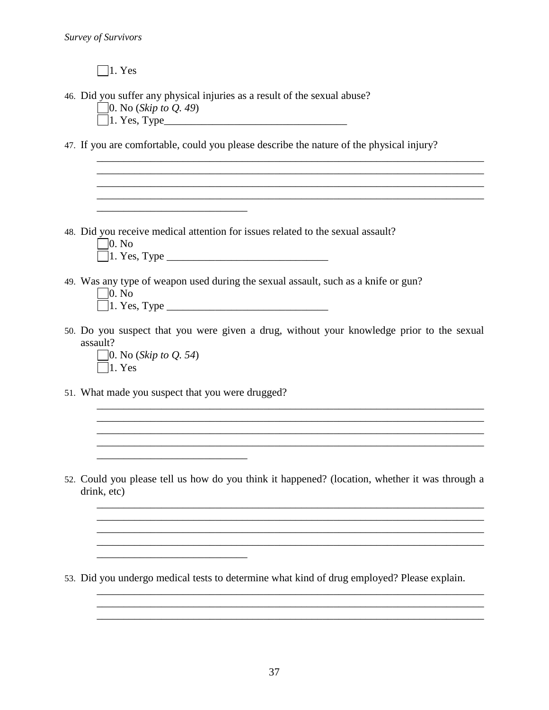$\Box$ 1. Yes

46. Did you suffer any physical injuries as a result of the sexual abuse?

0. No (*Skip to Q. 49*)

 $\Box$ 1. Yes, Type $\Box$ 

47. If you are comfortable, could you please describe the nature of the physical injury?

\_\_\_\_\_\_\_\_\_\_\_\_\_\_\_\_\_\_\_\_\_\_\_\_\_\_\_\_\_\_\_\_\_\_\_\_\_\_\_\_\_\_\_\_\_\_\_\_\_\_\_\_\_\_\_\_\_\_\_\_\_\_\_\_\_\_\_\_\_\_\_\_  $\overline{\phantom{a}}$  , and the contribution of the contribution of the contribution of the contribution of the contribution of the contribution of the contribution of the contribution of the contribution of the contribution of the  $\ldots$  . The contribution of the contribution of the contribution of the contribution of the contribution of the contribution of the contribution of the contribution of the contribution of the contribution of the contribut

48. Did you receive medical attention for issues related to the sexual assault?

 $\Box$ 0. No

\_\_\_\_\_\_\_\_\_\_\_\_\_\_\_\_\_\_\_\_\_\_\_\_\_\_\_\_

- 1. Yes, Type \_\_\_\_\_\_\_\_\_\_\_\_\_\_\_\_\_\_\_\_\_\_\_\_\_\_\_\_\_\_
- 49. Was any type of weapon used during the sexual assault, such as a knife or gun?  $\neg$   $\overline{\mathsf{M}}$

\_\_\_\_\_\_\_\_\_\_\_\_\_\_\_\_\_\_\_\_\_\_\_\_\_\_\_\_\_\_\_\_\_\_\_\_\_\_\_\_\_\_\_\_\_\_\_\_\_\_\_\_\_\_\_\_\_\_\_\_\_\_\_\_\_\_\_\_\_\_\_\_

| $\vert 0. N_0 \vert$ |  |
|----------------------|--|
| $\Box$ 1. Yes, Type  |  |

50. Do you suspect that you were given a drug, without your knowledge prior to the sexual assault?

\_\_\_\_\_\_\_\_\_\_\_\_\_\_\_\_\_\_\_\_\_\_\_\_\_\_\_\_\_\_\_\_\_\_\_\_\_\_\_\_\_\_\_\_\_\_\_\_\_\_\_\_\_\_\_\_\_\_\_\_\_\_\_\_\_\_\_\_\_\_\_\_

 $\mathcal{L}_\text{max} = \mathcal{L}_\text{max} = \mathcal{L}_\text{max} = \mathcal{L}_\text{max} = \mathcal{L}_\text{max} = \mathcal{L}_\text{max} = \mathcal{L}_\text{max} = \mathcal{L}_\text{max} = \mathcal{L}_\text{max} = \mathcal{L}_\text{max} = \mathcal{L}_\text{max} = \mathcal{L}_\text{max} = \mathcal{L}_\text{max} = \mathcal{L}_\text{max} = \mathcal{L}_\text{max} = \mathcal{L}_\text{max} = \mathcal{L}_\text{max} = \mathcal{L}_\text{max} = \mathcal{$ 

\_\_\_\_\_\_\_\_\_\_\_\_\_\_\_\_\_\_\_\_\_\_\_\_\_\_\_\_\_\_\_\_\_\_\_\_\_\_\_\_\_\_\_\_\_\_\_\_\_\_\_\_\_\_\_\_\_\_\_\_\_\_\_\_\_\_\_\_\_\_\_\_

\_\_\_\_\_\_\_\_\_\_\_\_\_\_\_\_\_\_\_\_\_\_\_\_\_\_\_\_\_\_\_\_\_\_\_\_\_\_\_\_\_\_\_\_\_\_\_\_\_\_\_\_\_\_\_\_\_\_\_\_\_\_\_\_\_\_\_\_\_\_\_\_ \_\_\_\_\_\_\_\_\_\_\_\_\_\_\_\_\_\_\_\_\_\_\_\_\_\_\_\_\_\_\_\_\_\_\_\_\_\_\_\_\_\_\_\_\_\_\_\_\_\_\_\_\_\_\_\_\_\_\_\_\_\_\_\_\_\_\_\_\_\_\_\_ \_\_\_\_\_\_\_\_\_\_\_\_\_\_\_\_\_\_\_\_\_\_\_\_\_\_\_\_\_\_\_\_\_\_\_\_\_\_\_\_\_\_\_\_\_\_\_\_\_\_\_\_\_\_\_\_\_\_\_\_\_\_\_\_\_\_\_\_\_\_\_\_

- 0. No (*Skip to Q. 54*)  $\Box$ 1. Yes
- 51. What made you suspect that you were drugged?

\_\_\_\_\_\_\_\_\_\_\_\_\_\_\_\_\_\_\_\_\_\_\_\_\_\_\_\_

52. Could you please tell us how do you think it happened? (location, whether it was through a drink, etc)

53. Did you undergo medical tests to determine what kind of drug employed? Please explain.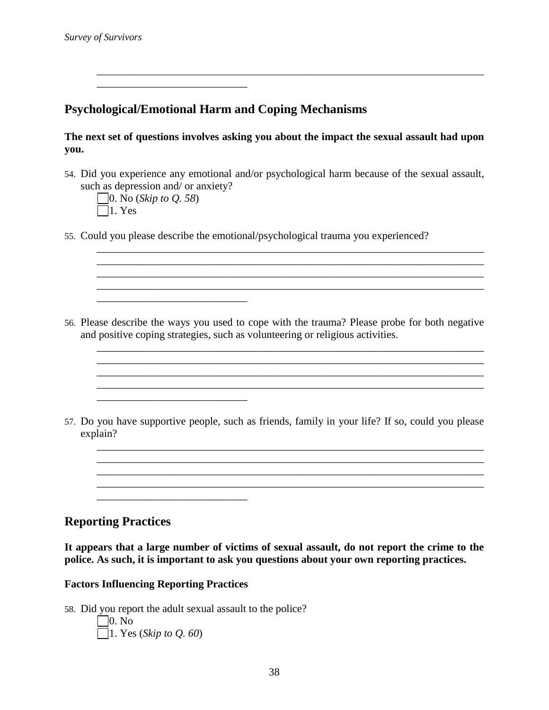# **Psychological/Emotional Harm and Coping Mechanisms**

**The next set of questions involves asking you about the impact the sexual assault had upon you.**

\_\_\_\_\_\_\_\_\_\_\_\_\_\_\_\_\_\_\_\_\_\_\_\_\_\_\_\_\_\_\_\_\_\_\_\_\_\_\_\_\_\_\_\_\_\_\_\_\_\_\_\_\_\_\_\_\_\_\_\_\_\_\_\_\_\_\_\_\_\_\_\_

54. Did you experience any emotional and/or psychological harm because of the sexual assault, such as depression and/ or anxiety?

\_\_\_\_\_\_\_\_\_\_\_\_\_\_\_\_\_\_\_\_\_\_\_\_\_\_\_\_\_\_\_\_\_\_\_\_\_\_\_\_\_\_\_\_\_\_\_\_\_\_\_\_\_\_\_\_\_\_\_\_\_\_\_\_\_\_\_\_\_\_\_\_ \_\_\_\_\_\_\_\_\_\_\_\_\_\_\_\_\_\_\_\_\_\_\_\_\_\_\_\_\_\_\_\_\_\_\_\_\_\_\_\_\_\_\_\_\_\_\_\_\_\_\_\_\_\_\_\_\_\_\_\_\_\_\_\_\_\_\_\_\_\_\_\_ \_\_\_\_\_\_\_\_\_\_\_\_\_\_\_\_\_\_\_\_\_\_\_\_\_\_\_\_\_\_\_\_\_\_\_\_\_\_\_\_\_\_\_\_\_\_\_\_\_\_\_\_\_\_\_\_\_\_\_\_\_\_\_\_\_\_\_\_\_\_\_\_ \_\_\_\_\_\_\_\_\_\_\_\_\_\_\_\_\_\_\_\_\_\_\_\_\_\_\_\_\_\_\_\_\_\_\_\_\_\_\_\_\_\_\_\_\_\_\_\_\_\_\_\_\_\_\_\_\_\_\_\_\_\_\_\_\_\_\_\_\_\_\_\_

\_\_\_\_\_\_\_\_\_\_\_\_\_\_\_\_\_\_\_\_\_\_\_\_\_\_\_\_\_\_\_\_\_\_\_\_\_\_\_\_\_\_\_\_\_\_\_\_\_\_\_\_\_\_\_\_\_\_\_\_\_\_\_\_\_\_\_\_\_\_\_\_ \_\_\_\_\_\_\_\_\_\_\_\_\_\_\_\_\_\_\_\_\_\_\_\_\_\_\_\_\_\_\_\_\_\_\_\_\_\_\_\_\_\_\_\_\_\_\_\_\_\_\_\_\_\_\_\_\_\_\_\_\_\_\_\_\_\_\_\_\_\_\_\_

\_\_\_\_\_\_\_\_\_\_\_\_\_\_\_\_\_\_\_\_\_\_\_\_\_\_\_\_\_\_\_\_\_\_\_\_\_\_\_\_\_\_\_\_\_\_\_\_\_\_\_\_\_\_\_\_\_\_\_\_\_\_\_\_\_\_\_\_\_\_\_\_

 $\mathcal{L}_\mathcal{L} = \{ \mathcal{L}_\mathcal{L} = \{ \mathcal{L}_\mathcal{L} = \{ \mathcal{L}_\mathcal{L} = \{ \mathcal{L}_\mathcal{L} = \{ \mathcal{L}_\mathcal{L} = \{ \mathcal{L}_\mathcal{L} = \{ \mathcal{L}_\mathcal{L} = \{ \mathcal{L}_\mathcal{L} = \{ \mathcal{L}_\mathcal{L} = \{ \mathcal{L}_\mathcal{L} = \{ \mathcal{L}_\mathcal{L} = \{ \mathcal{L}_\mathcal{L} = \{ \mathcal{L}_\mathcal{L} = \{ \mathcal{L}_\mathcal{$ \_\_\_\_\_\_\_\_\_\_\_\_\_\_\_\_\_\_\_\_\_\_\_\_\_\_\_\_\_\_\_\_\_\_\_\_\_\_\_\_\_\_\_\_\_\_\_\_\_\_\_\_\_\_\_\_\_\_\_\_\_\_\_\_\_\_\_\_\_\_\_\_

0. No (*Skip to Q. 58*)  $\Box$ 1. Yes

\_\_\_\_\_\_\_\_\_\_\_\_\_\_\_\_\_\_\_\_\_\_\_\_\_\_\_\_

\_\_\_\_\_\_\_\_\_\_\_\_\_\_\_\_\_\_\_\_\_\_\_\_\_\_\_\_

\_\_\_\_\_\_\_\_\_\_\_\_\_\_\_\_\_\_\_\_\_\_\_\_\_\_\_\_

\_\_\_\_\_\_\_\_\_\_\_\_\_\_\_\_\_\_\_\_\_\_\_\_\_\_\_\_

55. Could you please describe the emotional/psychological trauma you experienced?

56. Please describe the ways you used to cope with the trauma? Please probe for both negative and positive coping strategies, such as volunteering or religious activities.

57. Do you have supportive people, such as friends, family in your life? If so, could you please explain?

# **Reporting Practices**

**It appears that a large number of victims of sexual assault, do not report the crime to the police. As such, it is important to ask you questions about your own reporting practices.** 

#### **Factors Influencing Reporting Practices**

58. Did you report the adult sexual assault to the police?  $\Box$ 0. No 1. Yes (*Skip to Q. 60*)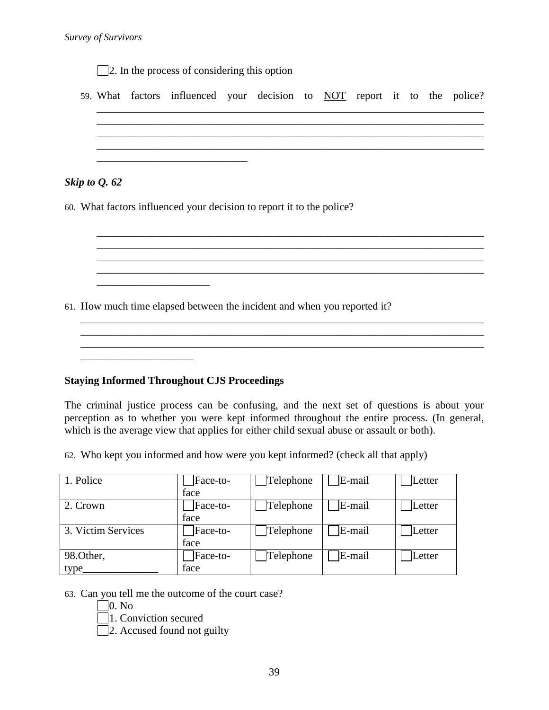|  | 59. What factors influenced your decision to NOT report it to the police? |  |  |  |  |  |
|--|---------------------------------------------------------------------------|--|--|--|--|--|
|  |                                                                           |  |  |  |  |  |
|  |                                                                           |  |  |  |  |  |

\_\_\_\_\_\_\_\_\_\_\_\_\_\_\_\_\_\_\_\_\_\_\_\_\_\_\_\_\_\_\_\_\_\_\_\_\_\_\_\_\_\_\_\_\_\_\_\_\_\_\_\_\_\_\_\_\_\_\_\_\_\_\_\_\_\_\_\_\_\_\_\_

\_\_\_\_\_\_\_\_\_\_\_\_\_\_\_\_\_\_\_\_\_\_\_\_\_\_\_\_\_\_\_\_\_\_\_\_\_\_\_\_\_\_\_\_\_\_\_\_\_\_\_\_\_\_\_\_\_\_\_\_\_\_\_\_\_\_\_\_\_\_\_\_

\_\_\_\_\_\_\_\_\_\_\_\_\_\_\_\_\_\_\_\_\_\_\_\_\_\_\_\_\_\_\_\_\_\_\_\_\_\_\_\_\_\_\_\_\_\_\_\_\_\_\_\_\_\_\_\_\_\_\_\_\_\_\_\_\_\_\_\_\_\_\_\_\_\_\_

\_\_\_\_\_\_\_\_\_\_\_\_\_\_\_\_\_\_\_\_\_\_\_\_\_\_\_\_\_\_\_\_\_\_\_\_\_\_\_\_\_\_\_\_\_\_\_\_\_\_\_\_\_\_\_\_\_\_\_\_\_\_\_\_\_\_\_\_\_\_\_\_\_\_\_

60. What factors influenced your decision to report it to the police?

61. How much time elapsed between the incident and when you reported it?

#### **Staying Informed Throughout CJS Proceedings**

\_\_\_\_\_\_\_\_\_\_\_\_\_\_\_\_\_\_\_\_\_

\_\_\_\_\_\_\_\_\_\_\_\_\_\_\_\_\_\_\_\_\_

The criminal justice process can be confusing, and the next set of questions is about your perception as to whether you were kept informed throughout the entire process. (In general, which is the average view that applies for either child sexual abuse or assault or both).

62. Who kept you informed and how were you kept informed? (check all that apply)

| 1. Police          | Face-to- | Telephone | E-mail | Letter |
|--------------------|----------|-----------|--------|--------|
|                    | face     |           |        |        |
| 2. Crown           | Face-to- | Telephone | E-mail | Letter |
|                    | face     |           |        |        |
| 3. Victim Services | Face-to- | Telephone | E-mail | Letter |
|                    | face     |           |        |        |
| 98.Other,          | Face-to- | Telephone | E-mail | Letter |
| type               | face     |           |        |        |

63. Can you tell me the outcome of the court case?

 $\Box$ 0. No

1. Conviction secured

 $\Box$  2. Accused found not guilty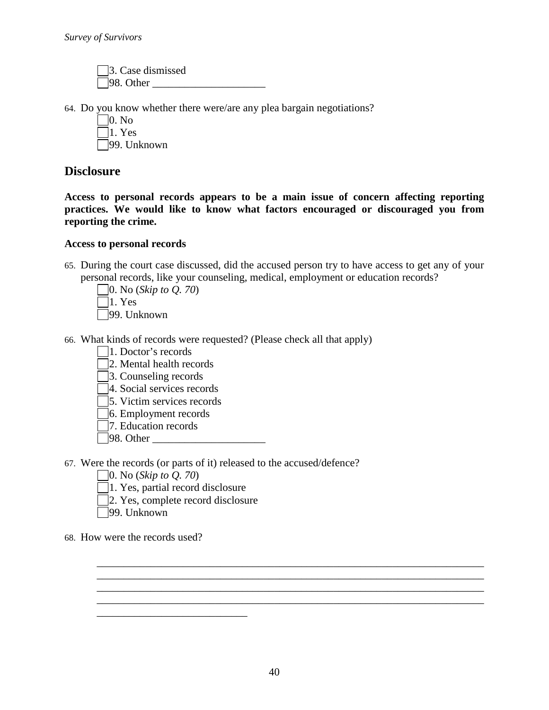3. Case dismissed  $98.$  Other

64. Do you know whether there were/are any plea bargain negotiations?

0. No  $\Box$ 1. Yes

99. Unknown

# **Disclosure**

**Access to personal records appears to be a main issue of concern affecting reporting practices. We would like to know what factors encouraged or discouraged you from reporting the crime.**

#### **Access to personal records**

65. During the court case discussed, did the accused person try to have access to get any of your personal records, like your counseling, medical, employment or education records?

0. No (*Skip to Q. 70*)  $\Box$ 1. Yes 99. Unknown

- 66. What kinds of records were requested? (Please check all that apply)
	- 1. Doctor's records
	- 2. Mental health records
	- 3. Counseling records
	- 4. Social services records
	- 5. Victim services records
	- 6. Employment records
	- 7. Education records
	- 98. Other \_\_\_\_\_\_\_\_\_\_\_\_\_\_\_\_\_\_\_\_\_
- 67. Were the records (or parts of it) released to the accused/defence?
	- 0. No (*Skip to Q. 70*)
	- 1. Yes, partial record disclosure

\_\_\_\_\_\_\_\_\_\_\_\_\_\_\_\_\_\_\_\_\_\_\_\_\_\_\_\_

- 2. Yes, complete record disclosure
- 99. Unknown
- 68. How were the records used?

\_\_\_\_\_\_\_\_\_\_\_\_\_\_\_\_\_\_\_\_\_\_\_\_\_\_\_\_\_\_\_\_\_\_\_\_\_\_\_\_\_\_\_\_\_\_\_\_\_\_\_\_\_\_\_\_\_\_\_\_\_\_\_\_\_\_\_\_\_\_\_\_ \_\_\_\_\_\_\_\_\_\_\_\_\_\_\_\_\_\_\_\_\_\_\_\_\_\_\_\_\_\_\_\_\_\_\_\_\_\_\_\_\_\_\_\_\_\_\_\_\_\_\_\_\_\_\_\_\_\_\_\_\_\_\_\_\_\_\_\_\_\_\_\_ \_\_\_\_\_\_\_\_\_\_\_\_\_\_\_\_\_\_\_\_\_\_\_\_\_\_\_\_\_\_\_\_\_\_\_\_\_\_\_\_\_\_\_\_\_\_\_\_\_\_\_\_\_\_\_\_\_\_\_\_\_\_\_\_\_\_\_\_\_\_\_\_ \_\_\_\_\_\_\_\_\_\_\_\_\_\_\_\_\_\_\_\_\_\_\_\_\_\_\_\_\_\_\_\_\_\_\_\_\_\_\_\_\_\_\_\_\_\_\_\_\_\_\_\_\_\_\_\_\_\_\_\_\_\_\_\_\_\_\_\_\_\_\_\_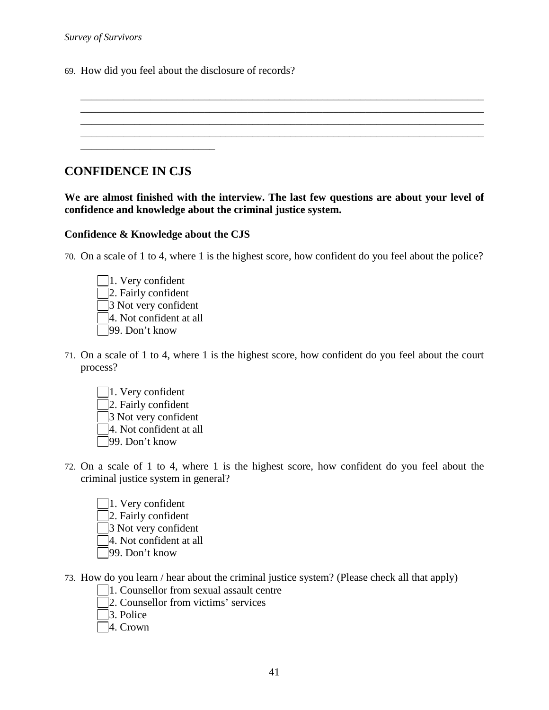*Survey of Survivors*

69. How did you feel about the disclosure of records?

# **CONFIDENCE IN CJS**

**We are almost finished with the interview. The last few questions are about your level of confidence and knowledge about the criminal justice system.**

#### **Confidence & Knowledge about the CJS**

70. On a scale of 1 to 4, where 1 is the highest score, how confident do you feel about the police?

| $ 1.$ Very confident       |
|----------------------------|
| 2. Fairly confident        |
| $\beta$ Not very confident |
| 4. Not confident at all    |
| 99. Don't know             |

- 71. On a scale of 1 to 4, where 1 is the highest score, how confident do you feel about the court process?
	- 1. Very confident 2. Fairly confident 3 Not very confident 4. Not confident at all 99. Don't know
- 72. On a scale of 1 to 4, where 1 is the highest score, how confident do you feel about the criminal justice system in general?
	- 1. Very confident 2. Fairly confident 3 Not very confident 4. Not confident at all 99. Don't know
- 73. How do you learn / hear about the criminal justice system? (Please check all that apply)
	- 1. Counsellor from sexual assault centre
	- 2. Counsellor from victims' services
	- 3. Police
	- 4. Crown